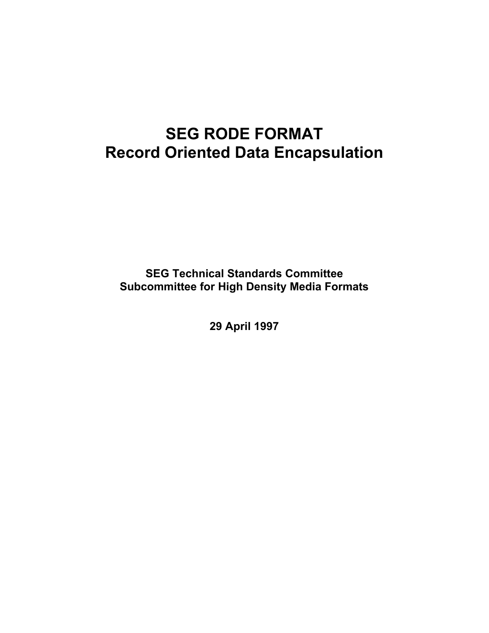# **SEG RODE FORMAT Record Oriented Data Encapsulation**

**SEG Technical Standards Committee Subcommittee for High Density Media Formats** 

**29 April 1997**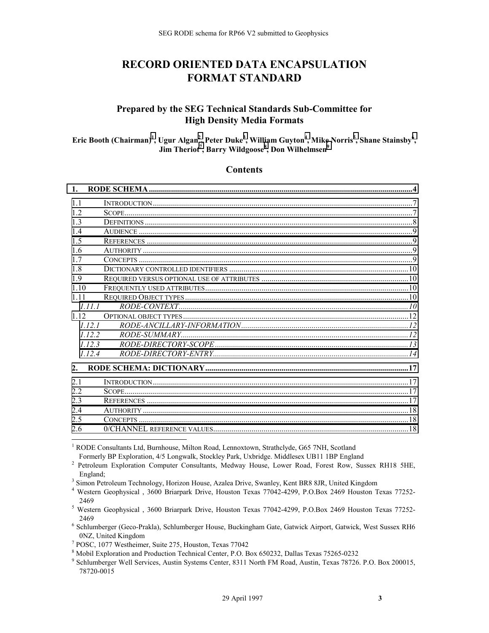# **RECORD ORIENTED DATA ENCAPSULATION FORMAT STANDARD**

# **Prepared by the SEG Technical Standards Sub-Committee for High Density Media Formats**

 $\mathbf{E}$ ric Booth (Chairman)<sup>1</sup>, Ugur Algan<sup>2</sup>, Peter Duke<sup>3</sup>, William Guyton<sup>4</sup>, Mike Norris<sup>5</sup>, Shane Stainsby<sup>6</sup>, **Jim Theriot<sup>7</sup> , Barry Wildgoose<sup>8</sup> , Don Wilhelmsen9**

#### **Contents**

| $\mathbf{1}$ . |                    |  |
|----------------|--------------------|--|
| 11             |                    |  |
| 12             |                    |  |
| 1 <sup>3</sup> |                    |  |
| 14             |                    |  |
| 1.5            |                    |  |
| 16             |                    |  |
| 17             |                    |  |
| 18             |                    |  |
| 19             |                    |  |
| 110            |                    |  |
| 1 1 1          |                    |  |
| 1111           | $RODE-CONTEXT$ [0] |  |
| 1 1 2          |                    |  |
| 1121           |                    |  |
| 1122           |                    |  |
| 1123           |                    |  |
| 1124           |                    |  |
| 2.             |                    |  |
| 2.1            |                    |  |
| 22             |                    |  |
| 2.3            |                    |  |
| 2.4            |                    |  |
| 2.5            |                    |  |
| 2.6            |                    |  |
|                |                    |  |

<sup>1</sup> RODE Consultants Ltd, Burnhouse, Milton Road, Lennoxtown, Strathclyde, G65 7NH, Scotland

Formerly BP Exploration, 4/5 Longwalk, Stockley Park, Uxbridge. Middlesex UB11 1BP England

<sup>&</sup>lt;sup>2</sup> Petroleum Exploration Computer Consultants, Medway House, Lower Road, Forest Row, Sussex RH18 5HE, England; 3 Simon Petroleum Technology, Horizon House, Azalea Drive, Swanley, Kent BR8 8JR, United Kingdom

<sup>4</sup> Western Geophysical , 3600 Briarpark Drive, Houston Texas 77042-4299, P.O.Box 2469 Houston Texas 77252-

<sup>2469 5</sup> Western Geophysical , 3600 Briarpark Drive, Houston Texas 77042-4299, P.O.Box 2469 Houston Texas 77252-

<sup>2469 6</sup> Schlumberger (Geco-Prakla), Schlumberger House, Buckingham Gate, Gatwick Airport, Gatwick, West Sussex RH6 0NZ, United Kingdom 7

POSC, 1077 Westheimer, Suite 275, Houston, Texas 77042

<sup>8</sup> Mobil Exploration and Production Technical Center, P.O. Box 650232, Dallas Texas 75265-0232

<sup>9</sup> Schlumberger Well Services, Austin Systems Center, 8311 North FM Road, Austin, Texas 78726. P.O. Box 200015, 78720-0015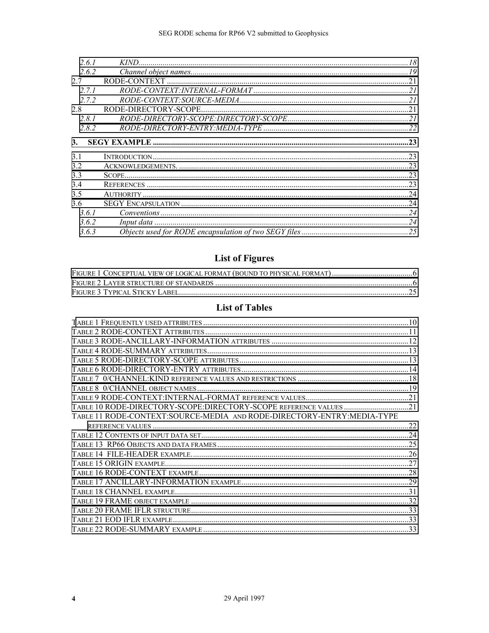| 261   |  |
|-------|--|
| 2.6.2 |  |
| 27    |  |
| 271   |  |
| 272   |  |
| 28    |  |
| 2.8.1 |  |
| 282   |  |
| 3.    |  |
|       |  |
|       |  |
| 31    |  |
| 3.2   |  |
| 33    |  |
| 34    |  |
| 3.5   |  |
| 3.6   |  |
| 3.6.1 |  |
| 3.6.2 |  |

# **List of Figures**

# **List of Tables**

| TABLE 10 RODE-DIRECTORY-SCOPE:DIRECTORY-SCOPE REFERENCE VALUES 21      |  |
|------------------------------------------------------------------------|--|
| TABLE 11 RODE-CONTEXT:SOURCE-MEDIA AND RODE-DIRECTORY-ENTRY:MEDIA-TYPE |  |
|                                                                        |  |
|                                                                        |  |
|                                                                        |  |
|                                                                        |  |
|                                                                        |  |
|                                                                        |  |
|                                                                        |  |
|                                                                        |  |
|                                                                        |  |
|                                                                        |  |
|                                                                        |  |
|                                                                        |  |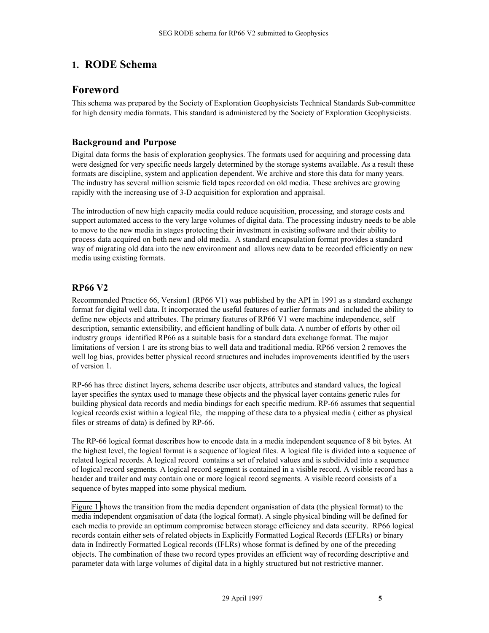# <span id="page-4-0"></span>**1. RODE Schema**

# **Foreword**

This schema was prepared by the Society of Exploration Geophysicists Technical Standards Sub-committee for high density media formats. This standard is administered by the Society of Exploration Geophysicists.

# **Background and Purpose**

Digital data forms the basis of exploration geophysics. The formats used for acquiring and processing data were designed for very specific needs largely determined by the storage systems available. As a result these formats are discipline, system and application dependent. We archive and store this data for many years. The industry has several million seismic field tapes recorded on old media. These archives are growing rapidly with the increasing use of 3-D acquisition for exploration and appraisal.

The introduction of new high capacity media could reduce acquisition, processing, and storage costs and support automated access to the very large volumes of digital data. The processing industry needs to be able to move to the new media in stages protecting their investment in existing software and their ability to process data acquired on both new and old media. A standard encapsulation format provides a standard way of migrating old data into the new environment and allows new data to be recorded efficiently on new media using existing formats.

# **RP66 V2**

Recommended Practice 66, Version1 (RP66 V1) was published by the API in 1991 as a standard exchange format for digital well data. It incorporated the useful features of earlier formats and included the ability to define new objects and attributes. The primary features of RP66 V1 were machine independence, self description, semantic extensibility, and efficient handling of bulk data. A number of efforts by other oil industry groups identified RP66 as a suitable basis for a standard data exchange format. The major limitations of version 1 are its strong bias to well data and traditional media. RP66 version 2 removes the well log bias, provides better physical record structures and includes improvements identified by the users of version 1.

RP-66 has three distinct layers, schema describe user objects, attributes and standard values, the logical layer specifies the syntax used to manage these objects and the physical layer contains generic rules for building physical data records and media bindings for each specific medium. RP-66 assumes that sequential logical records exist within a logical file, the mapping of these data to a physical media ( either as physical files or streams of data) is defined by RP-66.

The RP-66 logical format describes how to encode data in a media independent sequence of 8 bit bytes. At the highest level, the logical format is a sequence of logical files. A logical file is divided into a sequence of related logical records. A logical record contains a set of related values and is subdivided into a sequence of logical record segments. A logical record segment is contained in a visible record. A visible record has a header and trailer and may contain one or more logical record segments. A visible record consists of a sequence of bytes mapped into some physical medium.

[Figure 1](#page-5-0) shows the transition from the media dependent organisation of data (the physical format) to the media independent organisation of data (the logical format). A single physical binding will be defined for each media to provide an optimum compromise between storage efficiency and data security. RP66 logical records contain either sets of related objects in Explicitly Formatted Logical Records (EFLRs) or binary data in Indirectly Formatted Logical records (IFLRs) whose format is defined by one of the preceding objects. The combination of these two record types provides an efficient way of recording descriptive and parameter data with large volumes of digital data in a highly structured but not restrictive manner.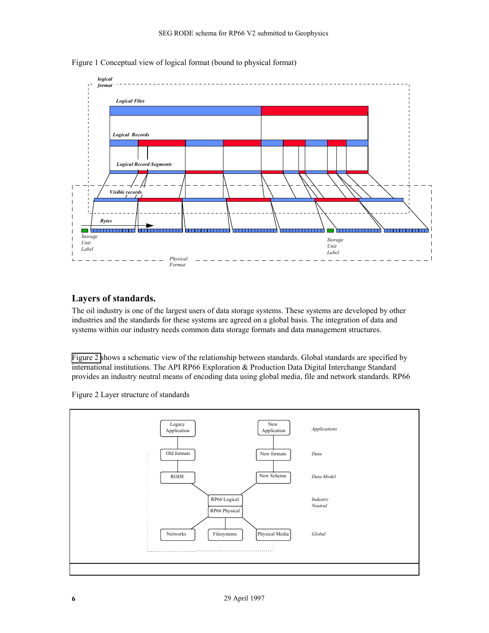<span id="page-5-0"></span>

Figure 1 Conceptual view of logical format (bound to physical format)

# **Layers of standards.**

The oil industry is one of the largest users of data storage systems. These systems are developed by other industries and the standards for these systems are agreed on a global basis. The integration of data and systems within our industry needs common data storage formats and data management structures.

Figure 2 shows a schematic view of the relationship between standards. Global standards are specified by international institutions. The API RP66 Exploration & Production Data Digital Interchange Standard provides an industry neutral means of encoding data using global media, file and network standards. RP66

Figure 2 Layer structure of standards

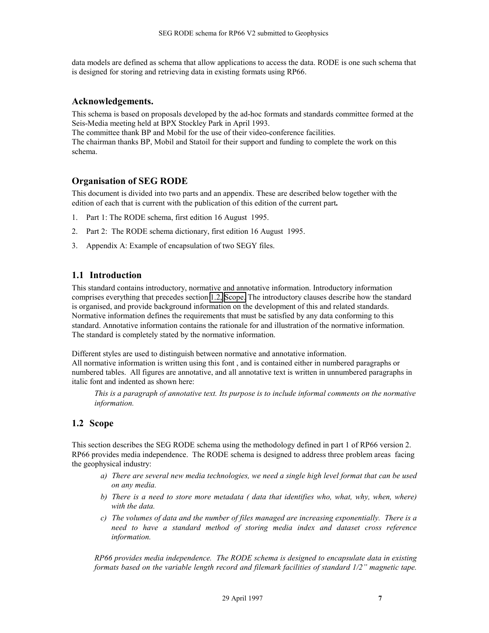<span id="page-6-0"></span>data models are defined as schema that allow applications to access the data. RODE is one such schema that is designed for storing and retrieving data in existing formats using RP66.

### **Acknowledgements.**

This schema is based on proposals developed by the ad-hoc formats and standards committee formed at the Seis-Media meeting held at BPX Stockley Park in April 1993.

The committee thank BP and Mobil for the use of their video-conference facilities. The chairman thanks BP, Mobil and Statoil for their support and funding to complete the work on this schema.

# **Organisation of SEG RODE**

This document is divided into two parts and an appendix. These are described below together with the edition of each that is current with the publication of this edition of the current part**.** 

- 1. Part 1: The RODE schema, first edition 16 August 1995.
- 2. Part 2: The RODE schema dictionary, first edition 16 August 1995.
- 3. Appendix A: Example of encapsulation of two SEGY files.

# **1.1 Introduction**

This standard contains introductory, normative and annotative information. Introductory information comprises everything that precedes section 1.2, Scope. The introductory clauses describe how the standard is organised, and provide background information on the development of this and related standards. Normative information defines the requirements that must be satisfied by any data conforming to this standard. Annotative information contains the rationale for and illustration of the normative information. The standard is completely stated by the normative information.

Different styles are used to distinguish between normative and annotative information. All normative information is written using this font , and is contained either in numbered paragraphs or numbered tables. All figures are annotative, and all annotative text is written in unnumbered paragraphs in italic font and indented as shown here:

*This is a paragraph of annotative text. Its purpose is to include informal comments on the normative information.* 

# **1.2 Scope**

This section describes the SEG RODE schema using the methodology defined in part 1 of RP66 version 2. RP66 provides media independence. The RODE schema is designed to address three problem areas facing the geophysical industry:

- *a) There are several new media technologies, we need a single high level format that can be used on any media.*
- *b) There is a need to store more metadata ( data that identifies who, what, why, when, where) with the data.*
- *c) The volumes of data and the number of files managed are increasing exponentially. There is a need to have a standard method of storing media index and dataset cross reference information.*

*RP66 provides media independence. The RODE schema is designed to encapsulate data in existing formats based on the variable length record and filemark facilities of standard 1/2" magnetic tape.*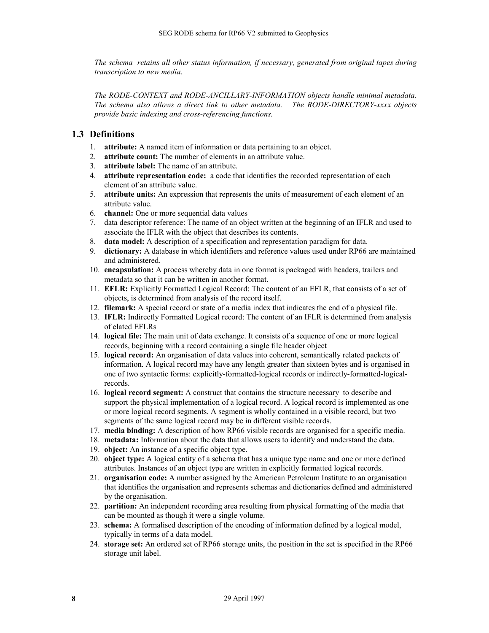<span id="page-7-0"></span>*The schema retains all other status information, if necessary, generated from original tapes during transcription to new media.* 

*The RODE-CONTEXT and RODE-ANCILLARY-INFORMATION objects handle minimal metadata. The schema also allows a direct link to other metadata. The RODE-DIRECTORY-xxxx objects provide basic indexing and cross-referencing functions.* 

# **1.3 Definitions**

- 1. **attribute:** A named item of information or data pertaining to an object.
- 2. **attribute count:** The number of elements in an attribute value.
- 3. **attribute label:** The name of an attribute.
- 4. **attribute representation code:** a code that identifies the recorded representation of each element of an attribute value.
- 5. **attribute units:** An expression that represents the units of measurement of each element of an attribute value.
- 6. **channel:** One or more sequential data values
- 7. data descriptor reference: The name of an object written at the beginning of an IFLR and used to associate the IFLR with the object that describes its contents.
- 8. **data model:** A description of a specification and representation paradigm for data.
- 9. **dictionary:** A database in which identifiers and reference values used under RP66 are maintained and administered.
- 10. **encapsulation:** A process whereby data in one format is packaged with headers, trailers and metadata so that it can be written in another format.
- 11. **EFLR:** Explicitly Formatted Logical Record: The content of an EFLR, that consists of a set of objects, is determined from analysis of the record itself.
- 12. **filemark:** A special record or state of a media index that indicates the end of a physical file.
- 13. **IFLR:** Indirectly Formatted Logical record: The content of an IFLR is determined from analysis of elated EFLRs
- 14. **logical file:** The main unit of data exchange. It consists of a sequence of one or more logical records, beginning with a record containing a single file header object
- 15. **logical record:** An organisation of data values into coherent, semantically related packets of information. A logical record may have any length greater than sixteen bytes and is organised in one of two syntactic forms: explicitly-formatted-logical records or indirectly-formatted-logicalrecords.
- 16. **logical record segment:** A construct that contains the structure necessary to describe and support the physical implementation of a logical record. A logical record is implemented as one or more logical record segments. A segment is wholly contained in a visible record, but two segments of the same logical record may be in different visible records.
- 17. **media binding:** A description of how RP66 visible records are organised for a specific media.
- 18. **metadata:** Information about the data that allows users to identify and understand the data.
- 19. **object:** An instance of a specific object type.
- 20. **object type:** A logical entity of a schema that has a unique type name and one or more defined attributes. Instances of an object type are written in explicitly formatted logical records.
- 21. **organisation code:** A number assigned by the American Petroleum Institute to an organisation that identifies the organisation and represents schemas and dictionaries defined and administered by the organisation.
- 22. **partition:** An independent recording area resulting from physical formatting of the media that can be mounted as though it were a single volume.
- 23. **schema:** A formalised description of the encoding of information defined by a logical model, typically in terms of a data model.
- 24. **storage set:** An ordered set of RP66 storage units, the position in the set is specified in the RP66 storage unit label.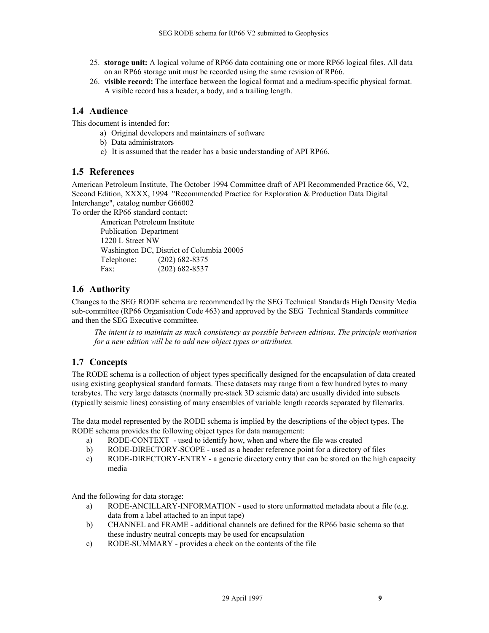- <span id="page-8-0"></span>25. **storage unit:** A logical volume of RP66 data containing one or more RP66 logical files. All data on an RP66 storage unit must be recorded using the same revision of RP66.
- 26. **visible record:** The interface between the logical format and a medium-specific physical format. A visible record has a header, a body, and a trailing length.

### **1.4 Audience**

This document is intended for:

- a) Original developers and maintainers of software
- b) Data administrators
- c) It is assumed that the reader has a basic understanding of API RP66.

#### **1.5 References**

American Petroleum Institute, The October 1994 Committee draft of API Recommended Practice 66, V2, Second Edition, XXXX, 1994 "Recommended Practice for Exploration & Production Data Digital Interchange", catalog number G66002

To order the RP66 standard contact:

American Petroleum Institute Publication Department 1220 L Street NW Washington DC, District of Columbia 20005 Telephone: (202) 682-8375 Fax: (202) 682-8537

### **1.6 Authority**

Changes to the SEG RODE schema are recommended by the SEG Technical Standards High Density Media sub-committee (RP66 Organisation Code 463) and approved by the SEG Technical Standards committee and then the SEG Executive committee.

*The intent is to maintain as much consistency as possible between editions. The principle motivation for a new edition will be to add new object types or attributes.* 

#### **1.7 Concepts**

The RODE schema is a collection of object types specifically designed for the encapsulation of data created using existing geophysical standard formats. These datasets may range from a few hundred bytes to many terabytes. The very large datasets (normally pre-stack 3D seismic data) are usually divided into subsets (typically seismic lines) consisting of many ensembles of variable length records separated by filemarks.

The data model represented by the RODE schema is implied by the descriptions of the object types. The RODE schema provides the following object types for data management:

- a) RODE-CONTEXT used to identify how, when and where the file was created
- b) RODE-DIRECTORY-SCOPE used as a header reference point for a directory of files
- c) RODE-DIRECTORY-ENTRY a generic directory entry that can be stored on the high capacity media

And the following for data storage:

- a) RODE-ANCILLARY-INFORMATION used to store unformatted metadata about a file (e.g. data from a label attached to an input tape)
- b) CHANNEL and FRAME additional channels are defined for the RP66 basic schema so that these industry neutral concepts may be used for encapsulation
- c) RODE-SUMMARY provides a check on the contents of the file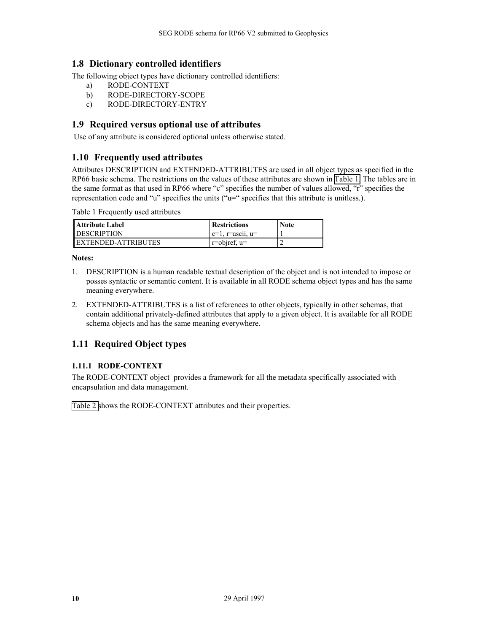# <span id="page-9-0"></span>**1.8 Dictionary controlled identifiers**

The following object types have dictionary controlled identifiers:

- a) RODE-CONTEXT
- b) RODE-DIRECTORY-SCOPE
- c) RODE-DIRECTORY-ENTRY

### **1.9 Required versus optional use of attributes**

Use of any attribute is considered optional unless otherwise stated.

#### **1.10 Frequently used attributes**

Attributes DESCRIPTION and EXTENDED-ATTRIBUTES are used in all object types as specified in the RP66 basic schema. The restrictions on the values of these attributes are shown in Table 1. The tables are in the same format as that used in RP66 where "c" specifies the number of values allowed, "r" specifies the representation code and "u" specifies the units ("u=" specifies that this attribute is unitless.).

Table 1 Frequently used attributes

| <b>Attribute Label</b> | <b>Restrictions</b>             | <b>Note</b> |
|------------------------|---------------------------------|-------------|
| <b>DESCRIPTION</b>     | $c=1$ , $r = \text{asc11}, u =$ |             |
| EXTENDED-ATTRIBUTES    | $r = object, u =$               |             |

**Notes:** 

- 1. DESCRIPTION is a human readable textual description of the object and is not intended to impose or posses syntactic or semantic content. It is available in all RODE schema object types and has the same meaning everywhere.
- 2. EXTENDED-ATTRIBUTES is a list of references to other objects, typically in other schemas, that contain additional privately-defined attributes that apply to a given object. It is available for all RODE schema objects and has the same meaning everywhere.

# **1.11 Required Object types**

#### **1.11.1 RODE-CONTEXT**

The RODE-CONTEXT object provides a framework for all the metadata specifically associated with encapsulation and data management.

[Table 2 s](#page-10-0)hows the RODE-CONTEXT attributes and their properties.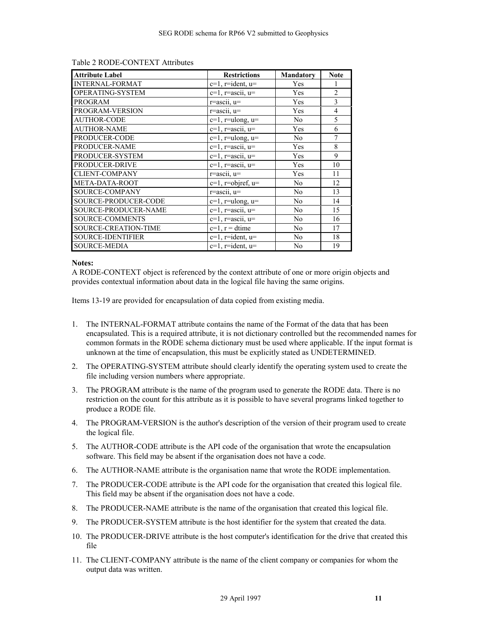| <b>Attribute Label</b>      | <b>Restrictions</b>      | <b>Mandatory</b> | <b>Note</b>    |
|-----------------------------|--------------------------|------------------|----------------|
| <b>INTERNAL-FORMAT</b>      | $c=1$ , r=ident, $u=$    | Yes              |                |
| OPERATING-SYSTEM            | $c=1$ , $r=ascii$ , $u=$ | Yes              | $\overline{2}$ |
| <b>PROGRAM</b>              | $r = \text{ascii}, u =$  | Yes              | 3              |
| PROGRAM-VERSION             | r=ascii, u=              | Yes              | $\overline{4}$ |
| <b>AUTHOR-CODE</b>          | $c=1$ , r=ulong, $u=$    | N <sub>0</sub>   | 5              |
| <b>AUTHOR-NAME</b>          | $c=1$ , $r=ascii$ , $u=$ | Yes              | 6              |
| PRODUCER-CODE               | $c=1$ , r=ulong, $u=$    | N <sub>0</sub>   | 7              |
| PRODUCER-NAME               | $c=1$ , $r=ascii$ , $u=$ | Yes              | 8              |
| PRODUCER-SYSTEM             | $c=1$ , $r=ascii$ , $u=$ | Yes              | 9              |
| PRODUCER-DRIVE              | $c=1$ , $r=ascii$ , $u=$ | Yes              | 10             |
| <b>CLIENT-COMPANY</b>       | $r = \text{ascii}, u =$  | Yes              | 11             |
| META-DATA-ROOT              | $c=1$ , r=objref, $u=$   | N <sub>0</sub>   | 12             |
| SOURCE-COMPANY              | $r = \text{ascii}, u =$  | No               | 13             |
| SOURCE-PRODUCER-CODE        | $c=1$ , r=ulong, $u=$    | N <sub>0</sub>   | 14             |
| <b>SOURCE-PRODUCER-NAME</b> | $c=1$ , $r=ascii$ , $u=$ | N <sub>0</sub>   | 15             |
| <b>SOURCE-COMMENTS</b>      | $c=1$ , $r=ascii$ , $u=$ | No               | 16             |
| SOURCE-CREATION-TIME        | $c=1$ , $r = dt$ ime     | N <sub>0</sub>   | 17             |
| <b>SOURCE-IDENTIFIER</b>    | $c=1$ , r=ident, $u=$    | N <sub>0</sub>   | 18             |
| <b>SOURCE-MEDIA</b>         | $c=1$ , r=ident, $u=$    | N <sub>0</sub>   | 19             |

#### <span id="page-10-0"></span>Table 2 RODE-CONTEXT Attributes

#### **Notes:**

A RODE-CONTEXT object is referenced by the context attribute of one or more origin objects and provides contextual information about data in the logical file having the same origins.

Items 13-19 are provided for encapsulation of data copied from existing media.

- 1. The INTERNAL-FORMAT attribute contains the name of the Format of the data that has been encapsulated. This is a required attribute, it is not dictionary controlled but the recommended names for common formats in the RODE schema dictionary must be used where applicable. If the input format is unknown at the time of encapsulation, this must be explicitly stated as UNDETERMINED.
- 2. The OPERATING-SYSTEM attribute should clearly identify the operating system used to create the file including version numbers where appropriate.
- 3. The PROGRAM attribute is the name of the program used to generate the RODE data. There is no restriction on the count for this attribute as it is possible to have several programs linked together to produce a RODE file.
- 4. The PROGRAM-VERSION is the author's description of the version of their program used to create the logical file.
- 5. The AUTHOR-CODE attribute is the API code of the organisation that wrote the encapsulation software. This field may be absent if the organisation does not have a code.
- 6. The AUTHOR-NAME attribute is the organisation name that wrote the RODE implementation.
- 7. The PRODUCER-CODE attribute is the API code for the organisation that created this logical file. This field may be absent if the organisation does not have a code.
- 8. The PRODUCER-NAME attribute is the name of the organisation that created this logical file.
- 9. The PRODUCER-SYSTEM attribute is the host identifier for the system that created the data.
- 10. The PRODUCER-DRIVE attribute is the host computer's identification for the drive that created this file
- 11. The CLIENT-COMPANY attribute is the name of the client company or companies for whom the output data was written.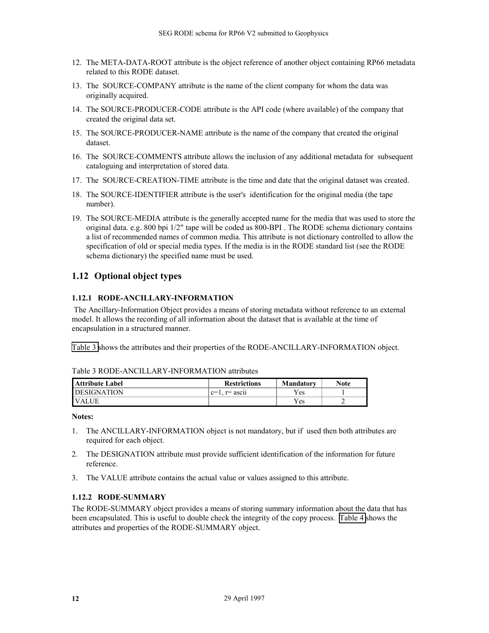- <span id="page-11-0"></span>12. The META-DATA-ROOT attribute is the object reference of another object containing RP66 metadata related to this RODE dataset.
- 13. The SOURCE-COMPANY attribute is the name of the client company for whom the data was originally acquired.
- 14. The SOURCE-PRODUCER-CODE attribute is the API code (where available) of the company that created the original data set.
- 15. The SOURCE-PRODUCER-NAME attribute is the name of the company that created the original dataset.
- 16. The SOURCE-COMMENTS attribute allows the inclusion of any additional metadata for subsequent cataloguing and interpretation of stored data.
- 17. The SOURCE-CREATION-TIME attribute is the time and date that the original dataset was created.
- 18. The SOURCE-IDENTIFIER attribute is the user's identification for the original media (the tape number).
- 19. The SOURCE-MEDIA attribute is the generally accepted name for the media that was used to store the original data. e.g. 800 bpi 1/2" tape will be coded as 800-BPI . The RODE schema dictionary contains a list of recommended names of common media. This attribute is not dictionary controlled to allow the specification of old or special media types. If the media is in the RODE standard list (see the RODE schema dictionary) the specified name must be used.

### **1.12 Optional object types**

#### **1.12.1 RODE-ANCILLARY-INFORMATION**

 The Ancillary-Information Object provides a means of storing metadata without reference to an external model. It allows the recording of all information about the dataset that is available at the time of encapsulation in a structured manner.

Table 3 shows the attributes and their properties of the RODE-ANCILLARY-INFORMATION object.

| Attribute Label    | <b>Restrictions</b>                      | <b>Mandatory</b> | Note |
|--------------------|------------------------------------------|------------------|------|
| <b>DESIGNATION</b> | $\cdot$ .<br>$\alpha =$<br>$r =$ asc $u$ | Yes              |      |
| <b>IVALUE</b>      |                                          | Yes.             |      |

#### Table 3 RODE-ANCILLARY-INFORMATION attributes

**Notes:** 

- 1. The ANCILLARY-INFORMATION object is not mandatory, but if used then both attributes are required for each object.
- 2. The DESIGNATION attribute must provide sufficient identification of the information for future reference.
- 3. The VALUE attribute contains the actual value or values assigned to this attribute.

### **1.12.2 RODE-SUMMARY**

The RODE-SUMMARY object provides a means of storing summary information about the data that has been encapsulated. This is useful to double check the integrity of the copy process. [Table 4](#page-12-0) shows the attributes and properties of the RODE-SUMMARY object.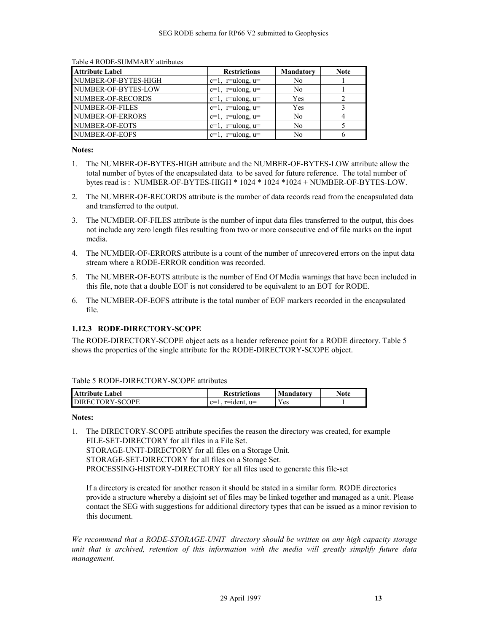| <b>Attribute Label</b> | <b>Restrictions</b>   | <b>Mandatory</b> | <b>Note</b> |
|------------------------|-----------------------|------------------|-------------|
| NUMBER-OF-BYTES-HIGH   | $c=1$ , r=ulong, $u=$ | N <sub>0</sub>   |             |
| NUMBER-OF-BYTES-LOW    | $c=1$ , r=ulong, $u=$ | N <sub>0</sub>   |             |
| NUMBER-OF-RECORDS      | $c=1$ , r=ulong, $u=$ | Yes              |             |
| NUMBER-OF-FILES        | $c=1$ , r=ulong, $u=$ | Yes              |             |
| NUMBER-OF-ERRORS       | $c=1$ , r=ulong, $u=$ | N <sub>0</sub>   |             |
| NUMBER-OF-EOTS         | $c=1$ , r=ulong, $u=$ | N <sub>0</sub>   |             |
| NUMBER-OF-EOFS         | $c=1$ , r=ulong, $u=$ | No               |             |

<span id="page-12-0"></span>Table 4 RODE-SUMMARY attributes

#### **Notes:**

- 1. The NUMBER-OF-BYTES-HIGH attribute and the NUMBER-OF-BYTES-LOW attribute allow the total number of bytes of the encapsulated data to be saved for future reference. The total number of bytes read is : NUMBER-OF-BYTES-HIGH \* 1024 \* 1024 \*1024 + NUMBER-OF-BYTES-LOW.
- 2. The NUMBER-OF-RECORDS attribute is the number of data records read from the encapsulated data and transferred to the output.
- 3. The NUMBER-OF-FILES attribute is the number of input data files transferred to the output, this does not include any zero length files resulting from two or more consecutive end of file marks on the input media.
- 4. The NUMBER-OF-ERRORS attribute is a count of the number of unrecovered errors on the input data stream where a RODE-ERROR condition was recorded.
- 5. The NUMBER-OF-EOTS attribute is the number of End Of Media warnings that have been included in this file, note that a double EOF is not considered to be equivalent to an EOT for RODE.
- 6. The NUMBER-OF-EOFS attribute is the total number of EOF markers recorded in the encapsulated file.

#### **1.12.3 RODE-DIRECTORY-SCOPE**

The RODE-DIRECTORY-SCOPE object acts as a header reference point for a RODE directory. Table 5 shows the properties of the single attribute for the RODE-DIRECTORY-SCOPE object.

| Table 5 RODE-DIRECTORY-SCOPE attributes |
|-----------------------------------------|
|-----------------------------------------|

| <b>Attribute Label</b> | <b>Restrictions</b>             | Mandatory | Note |
|------------------------|---------------------------------|-----------|------|
| <b>DIRECTORY-SCOPE</b> | $r$ =ident.<br>$\sim$<br>$11 =$ | r es      |      |

#### **Notes:**

1. The DIRECTORY-SCOPE attribute specifies the reason the directory was created, for example FILE-SET-DIRECTORY for all files in a File Set. STORAGE-UNIT-DIRECTORY for all files on a Storage Unit. STORAGE-SET-DIRECTORY for all files on a Storage Set. PROCESSING-HISTORY-DIRECTORY for all files used to generate this file-set

If a directory is created for another reason it should be stated in a similar form. RODE directories provide a structure whereby a disjoint set of files may be linked together and managed as a unit. Please contact the SEG with suggestions for additional directory types that can be issued as a minor revision to this document.

*We recommend that a RODE-STORAGE-UNIT directory should be written on any high capacity storage unit that is archived, retention of this information with the media will greatly simplify future data management.*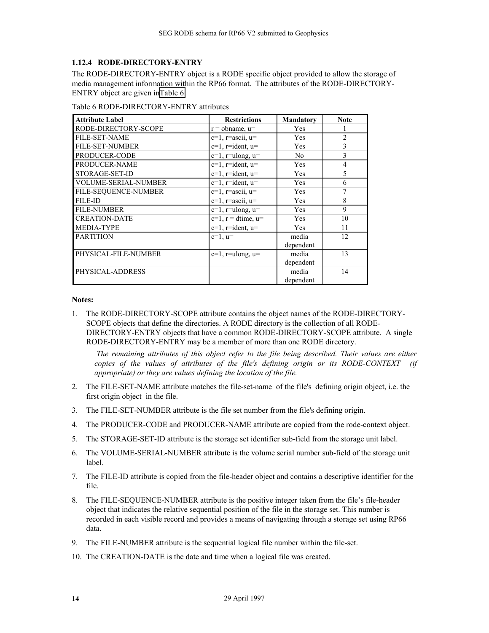#### <span id="page-13-0"></span>**1.12.4 RODE-DIRECTORY-ENTRY**

The RODE-DIRECTORY-ENTRY object is a RODE specific object provided to allow the storage of media management information within the RP66 format. The attributes of the RODE-DIRECTORY-ENTRY object are given inTable 6:

| <b>Attribute Label</b>      | <b>Restrictions</b>        | <b>Mandatory</b> | <b>Note</b>    |
|-----------------------------|----------------------------|------------------|----------------|
| RODE-DIRECTORY-SCOPE        | $r = \text{obname}, u =$   | Yes              |                |
| <b>FILE-SET-NAME</b>        | $c=1$ , $r=ascii$ , $u=$   | Yes              | $\overline{2}$ |
| <b>FILE-SET-NUMBER</b>      | $c=1$ , r=ident, $u=$      | Yes              | 3              |
| PRODUCER-CODE               | $c=1$ , r=ulong, $u=$      | N <sub>0</sub>   | 3              |
| PRODUCER-NAME               | $c=1$ , r=ident, $u=$      | Yes              | $\overline{4}$ |
| STORAGE-SET-ID              | $c=1$ , r=ident, $u=$      | Yes              | 5              |
| <b>VOLUME-SERIAL-NUMBER</b> | $c=1$ , r=ident, $u=$      | Yes              | 6              |
| FILE-SEQUENCE-NUMBER        | $c=1$ , $r=ascii$ , $u=$   | Yes              | 7              |
| <b>FILE-ID</b>              | $c=1$ , $r=ascii$ , $u=$   | Yes              | 8              |
| <b>FILE-NUMBER</b>          | $c=1$ , r=ulong, $u=$      | Yes              | 9              |
| <b>CREATION-DATE</b>        | $c=1$ , $r = dt$ ime, $u=$ | Yes              | 10             |
| <b>MEDIA-TYPE</b>           | $c=1$ , r=ident, $u=$      | Yes              | 11             |
| <b>PARTITION</b>            | $c=1$ , $u=$               | media            | 12             |
|                             |                            | dependent        |                |
| PHYSICAL-FILE-NUMBER        | $c=1$ , r=ulong, $u=$      | media            | 13             |
|                             |                            | dependent        |                |
| PHYSICAL-ADDRESS            |                            | media            | 14             |
|                             |                            | dependent        |                |

Table 6 RODE-DIRECTORY-ENTRY attributes

#### **Notes:**

1. The RODE-DIRECTORY-SCOPE attribute contains the object names of the RODE-DIRECTORY-SCOPE objects that define the directories. A RODE directory is the collection of all RODE-DIRECTORY-ENTRY objects that have a common RODE-DIRECTORY-SCOPE attribute. A single RODE-DIRECTORY-ENTRY may be a member of more than one RODE directory.

 *The remaining attributes of this object refer to the file being described. Their values are either copies of the values of attributes of the file's defining origin or its RODE-CONTEXT (if appropriate) or they are values defining the location of the file.* 

- 2. The FILE-SET-NAME attribute matches the file-set-name of the file's defining origin object, i.e. the first origin object in the file.
- 3. The FILE-SET-NUMBER attribute is the file set number from the file's defining origin.
- 4. The PRODUCER-CODE and PRODUCER-NAME attribute are copied from the rode-context object.
- 5. The STORAGE-SET-ID attribute is the storage set identifier sub-field from the storage unit label.
- 6. The VOLUME-SERIAL-NUMBER attribute is the volume serial number sub-field of the storage unit label.
- 7. The FILE-ID attribute is copied from the file-header object and contains a descriptive identifier for the file.
- 8. The FILE-SEQUENCE-NUMBER attribute is the positive integer taken from the file's file-header object that indicates the relative sequential position of the file in the storage set. This number is recorded in each visible record and provides a means of navigating through a storage set using RP66 data.
- 9. The FILE-NUMBER attribute is the sequential logical file number within the file-set.
- 10. The CREATION-DATE is the date and time when a logical file was created.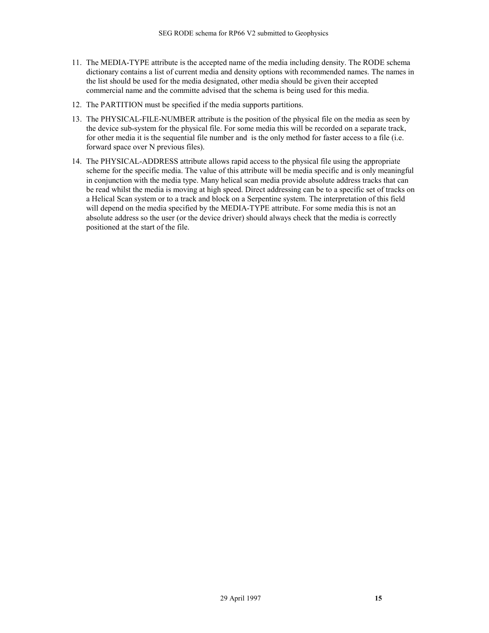- 11. The MEDIA-TYPE attribute is the accepted name of the media including density. The RODE schema dictionary contains a list of current media and density options with recommended names. The names in the list should be used for the media designated, other media should be given their accepted commercial name and the committe advised that the schema is being used for this media.
- 12. The PARTITION must be specified if the media supports partitions.
- 13. The PHYSICAL-FILE-NUMBER attribute is the position of the physical file on the media as seen by the device sub-system for the physical file. For some media this will be recorded on a separate track, for other media it is the sequential file number and is the only method for faster access to a file (i.e. forward space over N previous files).
- 14. The PHYSICAL-ADDRESS attribute allows rapid access to the physical file using the appropriate scheme for the specific media. The value of this attribute will be media specific and is only meaningful in conjunction with the media type. Many helical scan media provide absolute address tracks that can be read whilst the media is moving at high speed. Direct addressing can be to a specific set of tracks on a Helical Scan system or to a track and block on a Serpentine system. The interpretation of this field will depend on the media specified by the MEDIA-TYPE attribute. For some media this is not an absolute address so the user (or the device driver) should always check that the media is correctly positioned at the start of the file.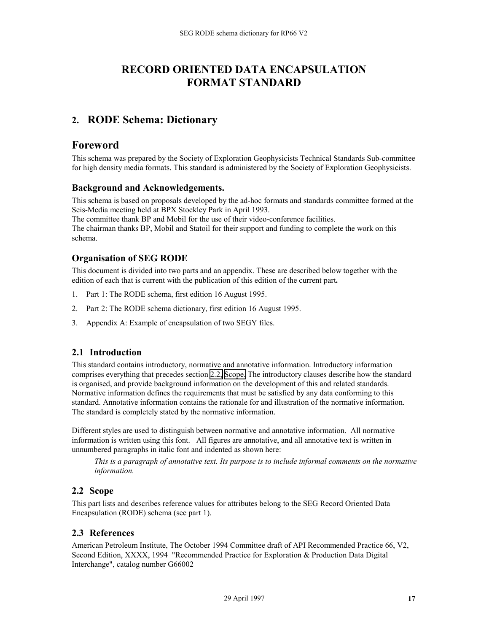# **RECORD ORIENTED DATA ENCAPSULATION FORMAT STANDARD**

# <span id="page-16-0"></span>**2. RODE Schema: Dictionary**

# **Foreword**

This schema was prepared by the Society of Exploration Geophysicists Technical Standards Sub-committee for high density media formats. This standard is administered by the Society of Exploration Geophysicists.

#### **Background and Acknowledgements.**

This schema is based on proposals developed by the ad-hoc formats and standards committee formed at the Seis-Media meeting held at BPX Stockley Park in April 1993.

The committee thank BP and Mobil for the use of their video-conference facilities.

The chairman thanks BP, Mobil and Statoil for their support and funding to complete the work on this schema.

# **Organisation of SEG RODE**

This document is divided into two parts and an appendix. These are described below together with the edition of each that is current with the publication of this edition of the current part**.** 

- 1. Part 1: The RODE schema, first edition 16 August 1995.
- 2. Part 2: The RODE schema dictionary, first edition 16 August 1995.
- 3. Appendix A: Example of encapsulation of two SEGY files.

# **2.1 Introduction**

This standard contains introductory, normative and annotative information. Introductory information comprises everything that precedes section 2.2, Scope. The introductory clauses describe how the standard is organised, and provide background information on the development of this and related standards. Normative information defines the requirements that must be satisfied by any data conforming to this standard. Annotative information contains the rationale for and illustration of the normative information. The standard is completely stated by the normative information.

Different styles are used to distinguish between normative and annotative information. All normative information is written using this font. All figures are annotative, and all annotative text is written in unnumbered paragraphs in italic font and indented as shown here:

*This is a paragraph of annotative text. Its purpose is to include informal comments on the normative information.* 

# **2.2 Scope**

This part lists and describes reference values for attributes belong to the SEG Record Oriented Data Encapsulation (RODE) schema (see part 1).

# **2.3 References**

American Petroleum Institute, The October 1994 Committee draft of API Recommended Practice 66, V2, Second Edition, XXXX, 1994 "Recommended Practice for Exploration & Production Data Digital Interchange", catalog number G66002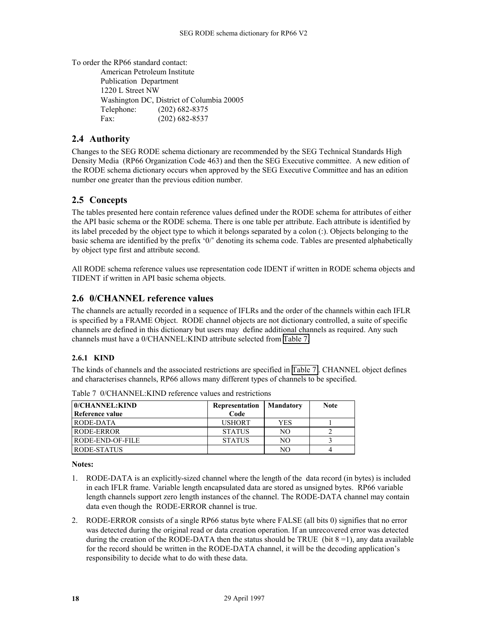<span id="page-17-0"></span>To order the RP66 standard contact:

American Petroleum Institute Publication Department 1220 L Street NW Washington DC, District of Columbia 20005 Telephone: (202) 682-8375 Fax: (202) 682-8537

# **2.4 Authority**

Changes to the SEG RODE schema dictionary are recommended by the SEG Technical Standards High Density Media (RP66 Organization Code 463) and then the SEG Executive committee. A new edition of the RODE schema dictionary occurs when approved by the SEG Executive Committee and has an edition number one greater than the previous edition number.

# **2.5 Concepts**

The tables presented here contain reference values defined under the RODE schema for attributes of either the API basic schema or the RODE schema. There is one table per attribute. Each attribute is identified by its label preceded by the object type to which it belongs separated by a colon (:). Objects belonging to the basic schema are identified by the prefix '0/' denoting its schema code. Tables are presented alphabetically by object type first and attribute second.

All RODE schema reference values use representation code IDENT if written in RODE schema objects and TIDENT if written in API basic schema objects.

# **2.6 0/CHANNEL reference values**

The channels are actually recorded in a sequence of IFLRs and the order of the channels within each IFLR is specified by a FRAME Object. RODE channel objects are not dictionary controlled, a suite of specific channels are defined in this dictionary but users may define additional channels as required. Any such channels must have a 0/CHANNEL:KIND attribute selected from Table 7.

#### **2.6.1 KIND**

The kinds of channels and the associated restrictions are specified in Table 7 . CHANNEL object defines and characterises channels, RP66 allows many different types of channels to be specified.

| 0/CHANNEL:KIND   | Representation | Mandatory      | <b>Note</b> |
|------------------|----------------|----------------|-------------|
| Reference value  | Code           |                |             |
| RODE-DATA        | <b>USHORT</b>  | <b>YES</b>     |             |
| RODE-ERROR       | <b>STATUS</b>  | NO.            |             |
| RODE-END-OF-FILE | <b>STATUS</b>  | N <sub>O</sub> |             |
| RODE-STATUS      |                | NO             |             |

Table 7 0/CHANNEL:KIND reference values and restrictions

**Notes:** 

- 1. RODE-DATA is an explicitly-sized channel where the length of the data record (in bytes) is included in each IFLR frame. Variable length encapsulated data are stored as unsigned bytes. RP66 variable length channels support zero length instances of the channel. The RODE-DATA channel may contain data even though the RODE-ERROR channel is true.
- 2. RODE-ERROR consists of a single RP66 status byte where FALSE (all bits 0) signifies that no error was detected during the original read or data creation operation. If an unrecovered error was detected during the creation of the RODE-DATA then the status should be TRUE (bit  $8 = 1$ ), any data available for the record should be written in the RODE-DATA channel, it will be the decoding application's responsibility to decide what to do with these data.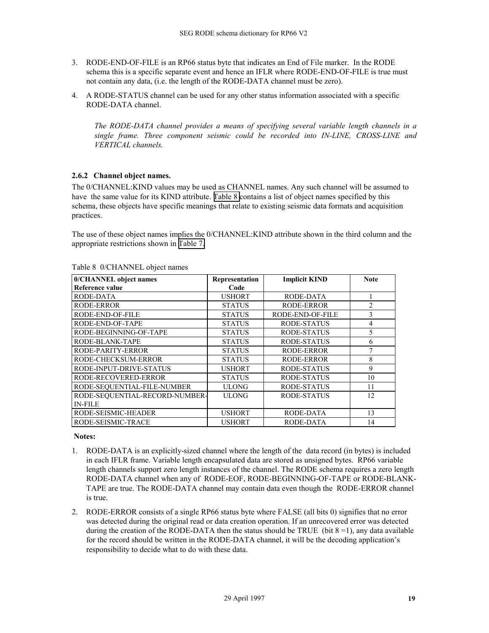- <span id="page-18-0"></span>3. RODE-END-OF-FILE is an RP66 status byte that indicates an End of File marker. In the RODE schema this is a specific separate event and hence an IFLR where RODE-END-OF-FILE is true must not contain any data, (i.e. the length of the RODE-DATA channel must be zero).
- 4. A RODE-STATUS channel can be used for any other status information associated with a specific RODE-DATA channel.

*The RODE-DATA channel provides a means of specifying several variable length channels in a single frame. Three component seismic could be recorded into IN-LINE, CROSS-LINE and VERTICAL channels.* 

#### **2.6.2 Channel object names.**

The 0/CHANNEL:KIND values may be used as CHANNEL names. Any such channel will be assumed to have the same value for its KIND attribute. Table 8 contains a list of object names specified by this schema, these objects have specific meanings that relate to existing seismic data formats and acquisition practices.

The use of these object names implies the 0/CHANNEL:KIND attribute shown in the third column and the appropriate restrictions shown in [Table 7.](#page-17-0)

| 0/CHANNEL object names         | Representation | <b>Implicit KIND</b> | <b>Note</b>    |
|--------------------------------|----------------|----------------------|----------------|
| Reference value                | Code           |                      |                |
| RODE-DATA                      | <b>USHORT</b>  | RODE-DATA            |                |
| RODE-ERROR                     | <b>STATUS</b>  | RODE-ERROR           | $\overline{c}$ |
| RODE-END-OF-FILE               | <b>STATUS</b>  | RODE-END-OF-FILE     | 3              |
| RODE-END-OF-TAPE               | <b>STATUS</b>  | <b>RODE-STATUS</b>   | 4              |
| RODE-BEGINNING-OF-TAPE         | <b>STATUS</b>  | RODE-STATUS          | 5              |
| RODE-BLANK-TAPE                | <b>STATUS</b>  | RODE-STATUS          | 6              |
| RODE-PARITY-ERROR              | <b>STATUS</b>  | RODE-ERROR           | 7              |
| RODE-CHECKSUM-ERROR            | <b>STATUS</b>  | RODE-ERROR           | 8              |
| RODE-INPUT-DRIVE-STATUS        | <b>USHORT</b>  | RODE-STATUS          | 9              |
| RODE-RECOVERED-ERROR           | <b>STATUS</b>  | RODE-STATUS          | 10             |
| RODE-SEQUENTIAL-FILE-NUMBER    | <b>ULONG</b>   | RODE-STATUS          | 11             |
| RODE-SEQUENTIAL-RECORD-NUMBER- | <b>ULONG</b>   | RODE-STATUS          | 12             |
| <b>IN-FILE</b>                 |                |                      |                |
| RODE-SEISMIC-HEADER            | <b>USHORT</b>  | RODE-DATA            | 13             |
| RODE-SEISMIC-TRACE             | <b>USHORT</b>  | RODE-DATA            | 14             |

#### Table 8 0/CHANNEL object names

#### **Notes:**

- 1. RODE-DATA is an explicitly-sized channel where the length of the data record (in bytes) is included in each IFLR frame. Variable length encapsulated data are stored as unsigned bytes. RP66 variable length channels support zero length instances of the channel. The RODE schema requires a zero length RODE-DATA channel when any of RODE-EOF, RODE-BEGINNING-OF-TAPE or RODE-BLANK-TAPE are true. The RODE-DATA channel may contain data even though the RODE-ERROR channel is true.
- 2. RODE-ERROR consists of a single RP66 status byte where FALSE (all bits 0) signifies that no error was detected during the original read or data creation operation. If an unrecovered error was detected during the creation of the RODE-DATA then the status should be TRUE (bit  $8 = 1$ ), any data available for the record should be written in the RODE-DATA channel, it will be the decoding application's responsibility to decide what to do with these data.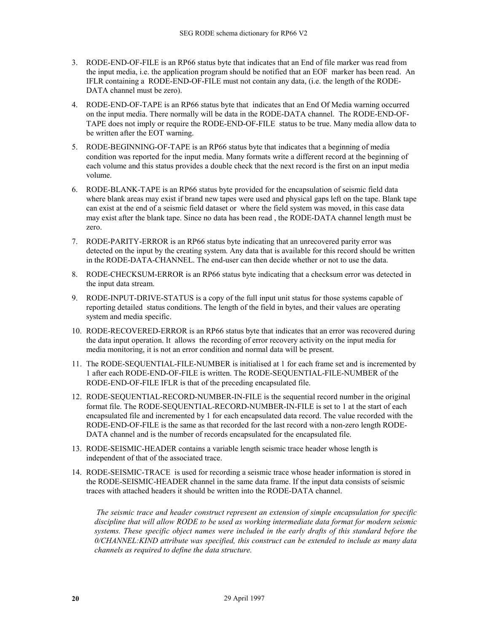- 3. RODE-END-OF-FILE is an RP66 status byte that indicates that an End of file marker was read from the input media, i.e. the application program should be notified that an EOF marker has been read. An IFLR containing a RODE-END-OF-FILE must not contain any data, (i.e. the length of the RODE-DATA channel must be zero).
- 4. RODE-END-OF-TAPE is an RP66 status byte that indicates that an End Of Media warning occurred on the input media. There normally will be data in the RODE-DATA channel. The RODE-END-OF-TAPE does not imply or require the RODE-END-OF-FILE status to be true. Many media allow data to be written after the EOT warning.
- 5. RODE-BEGINNING-OF-TAPE is an RP66 status byte that indicates that a beginning of media condition was reported for the input media. Many formats write a different record at the beginning of each volume and this status provides a double check that the next record is the first on an input media volume.
- 6. RODE-BLANK-TAPE is an RP66 status byte provided for the encapsulation of seismic field data where blank areas may exist if brand new tapes were used and physical gaps left on the tape. Blank tape can exist at the end of a seismic field dataset or where the field system was moved, in this case data may exist after the blank tape. Since no data has been read , the RODE-DATA channel length must be zero.
- 7. RODE-PARITY-ERROR is an RP66 status byte indicating that an unrecovered parity error was detected on the input by the creating system. Any data that is available for this record should be written in the RODE-DATA-CHANNEL. The end-user can then decide whether or not to use the data.
- 8. RODE-CHECKSUM-ERROR is an RP66 status byte indicating that a checksum error was detected in the input data stream.
- 9. RODE-INPUT-DRIVE-STATUS is a copy of the full input unit status for those systems capable of reporting detailed status conditions. The length of the field in bytes, and their values are operating system and media specific.
- 10. RODE-RECOVERED-ERROR is an RP66 status byte that indicates that an error was recovered during the data input operation. It allows the recording of error recovery activity on the input media for media monitoring, it is not an error condition and normal data will be present.
- 11. The RODE-SEQUENTIAL-FILE-NUMBER is initialised at 1 for each frame set and is incremented by 1 after each RODE-END-OF-FILE is written. The RODE-SEQUENTIAL-FILE-NUMBER of the RODE-END-OF-FILE IFLR is that of the preceding encapsulated file.
- 12. RODE-SEQUENTIAL-RECORD-NUMBER-IN-FILE is the sequential record number in the original format file. The RODE-SEQUENTIAL-RECORD-NUMBER-IN-FILE is set to 1 at the start of each encapsulated file and incremented by 1 for each encapsulated data record. The value recorded with the RODE-END-OF-FILE is the same as that recorded for the last record with a non-zero length RODE-DATA channel and is the number of records encapsulated for the encapsulated file.
- 13. RODE-SEISMIC-HEADER contains a variable length seismic trace header whose length is independent of that of the associated trace.
- 14. RODE-SEISMIC-TRACE is used for recording a seismic trace whose header information is stored in the RODE-SEISMIC-HEADER channel in the same data frame. If the input data consists of seismic traces with attached headers it should be written into the RODE-DATA channel.

 *The seismic trace and header construct represent an extension of simple encapsulation for specific discipline that will allow RODE to be used as working intermediate data format for modern seismic systems. These specific object names were included in the early drafts of this standard before the 0/CHANNEL:KIND attribute was specified, this construct can be extended to include as many data channels as required to define the data structure.*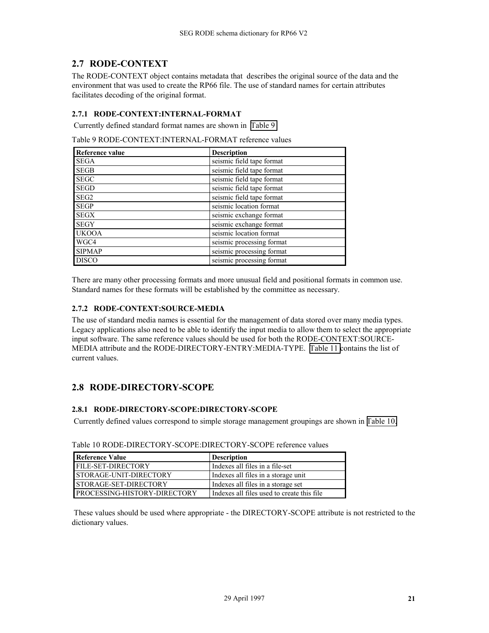# <span id="page-20-0"></span>**2.7 RODE-CONTEXT**

The RODE-CONTEXT object contains metadata that describes the original source of the data and the environment that was used to create the RP66 file. The use of standard names for certain attributes facilitates decoding of the original format.

#### **2.7.1 RODE-CONTEXT:INTERNAL-FORMAT**

Currently defined standard format names are shown in Table 9

Table 9 RODE-CONTEXT:INTERNAL-FORMAT reference values

| Reference value  | <b>Description</b>        |
|------------------|---------------------------|
| <b>SEGA</b>      | seismic field tape format |
| <b>SEGB</b>      | seismic field tape format |
| <b>SEGC</b>      | seismic field tape format |
| <b>SEGD</b>      | seismic field tape format |
| SEG <sub>2</sub> | seismic field tape format |
| <b>SEGP</b>      | seismic location format   |
| <b>SEGX</b>      | seismic exchange format   |
| <b>SEGY</b>      | seismic exchange format   |
| <b>UKOOA</b>     | seismic location format   |
| WGC4             | seismic processing format |
| <b>SIPMAP</b>    | seismic processing format |
| <b>DISCO</b>     | seismic processing format |

There are many other processing formats and more unusual field and positional formats in common use. Standard names for these formats will be established by the committee as necessary.

#### **2.7.2 RODE-CONTEXT:SOURCE-MEDIA**

The use of standard media names is essential for the management of data stored over many media types. Legacy applications also need to be able to identify the input media to allow them to select the appropriate input software. The same reference values should be used for both the RODE-CONTEXT:SOURCE-MEDIA attribute and the RODE-DIRECTORY-ENTRY:MEDIA-TYPE. [Table 11 c](#page-21-0)ontains the list of current values.

# **2.8 RODE-DIRECTORY-SCOPE**

#### **2.8.1 RODE-DIRECTORY-SCOPE:DIRECTORY-SCOPE**

Currently defined values correspond to simple storage management groupings are shown in Table 10.

| Reference Value               | <b>Description</b>                         |
|-------------------------------|--------------------------------------------|
| <b>FILE-SET-DIRECTORY</b>     | Indexes all files in a file-set            |
| <b>STORAGE-UNIT-DIRECTORY</b> | Indexes all files in a storage unit        |
| <b>STORAGE-SET-DIRECTORY</b>  | Indexes all files in a storage set         |
| PROCESSING-HISTORY-DIRECTORY  | Indexes all files used to create this file |

Table 10 RODE-DIRECTORY-SCOPE:DIRECTORY-SCOPE reference values

 These values should be used where appropriate - the DIRECTORY-SCOPE attribute is not restricted to the dictionary values.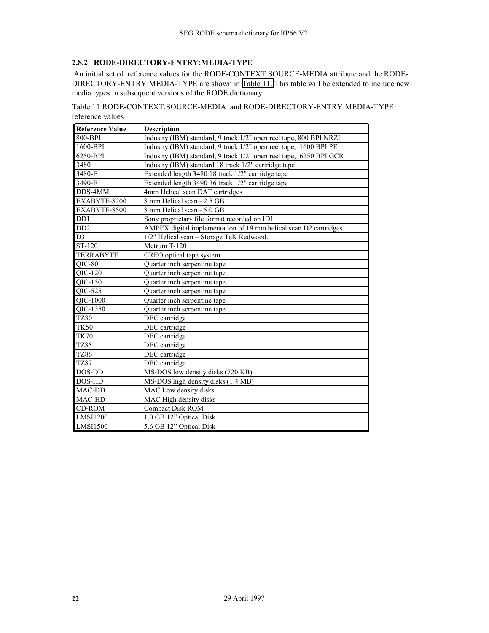### <span id="page-21-0"></span>**2.8.2 RODE-DIRECTORY-ENTRY:MEDIA-TYPE**

 An initial set of reference values for the RODE-CONTEXT:SOURCE-MEDIA attribute and the RODE-DIRECTORY-ENTRY:MEDIA-TYPE are shown in Table 11. This table will be extended to include new media types in subsequent versions of the RODE dictionary.

Table 11 RODE-CONTEXT:SOURCE-MEDIA and RODE-DIRECTORY-ENTRY:MEDIA-TYPE reference values

| <b>Reference Value</b> | <b>Description</b>                                                 |
|------------------------|--------------------------------------------------------------------|
| 800-BPI                | Industry (IBM) standard, 9 track 1/2" open reel tape, 800 BPI NRZI |
| 1600-BPI               | Industry (IBM) standard, 9 track 1/2" open reel tape, 1600 BPI PE  |
| 6250-BPI               | Industry (IBM) standard, 9 track 1/2" open reel tape, 6250 BPI GCR |
| 3480                   | Industry (IBM) standard 18 track 1/2" cartridge tape               |
| 3480-E                 | Extended length 3480 18 track 1/2" cartridge tape                  |
| 3490-E                 | Extended length 3490 36 track 1/2" cartridge tape                  |
| DDS-4MM                | 4mm Helical scan DAT cartridges                                    |
| EXABYTE-8200           | 8 mm Helical scan - 2.5 GB                                         |
| EXABYTE-8500           | 8 mm Helical scan - 5.0 GB                                         |
| D <sub>D</sub> 1       | Sony proprietary file format recorded on ID1                       |
| DD2                    | AMPEX digital implementation of 19 mm helical scan D2 cartridges.  |
| D <sub>3</sub>         | 1/2" Helical scan - Storage TeK Redwood.                           |
| ST-120                 | Metrum T-120                                                       |
| <b>TERRABYTE</b>       | CREO optical tape system.                                          |
| $QIC-80$               | Quarter inch serpentine tape                                       |
| QIC-120                | Quarter inch serpentine tape                                       |
| $QIC-150$              | Quarter inch serpentine tape                                       |
| $QIC-525$              | Quarter inch serpentine tape                                       |
| QIC-1000               | Quarter inch serpentine tape                                       |
| QIC-1350               | Quarter inch serpentine tape                                       |
| <b>TZ30</b>            | DEC cartridge                                                      |
| <b>TK50</b>            | DEC cartridge                                                      |
| <b>TK70</b>            | DEC cartridge                                                      |
| <b>TZ85</b>            | DEC cartridge                                                      |
| TZ86                   | DEC cartridge                                                      |
| <b>TZ87</b>            | DEC cartridge                                                      |
| DOS-DD                 | MS-DOS low density disks (720 KB)                                  |
| DOS-HD                 | MS-DOS high density disks (1.4 MB)                                 |
| MAC-DD                 | MAC Low density disks                                              |
| MAC-HD                 | MAC High density disks                                             |
| <b>CD-ROM</b>          | Compact Disk ROM                                                   |
| <b>LMSI1200</b>        | 1.0 GB 12" Optical Disk                                            |
| <b>LMSI1500</b>        | 5.6 GB 12" Optical Disk                                            |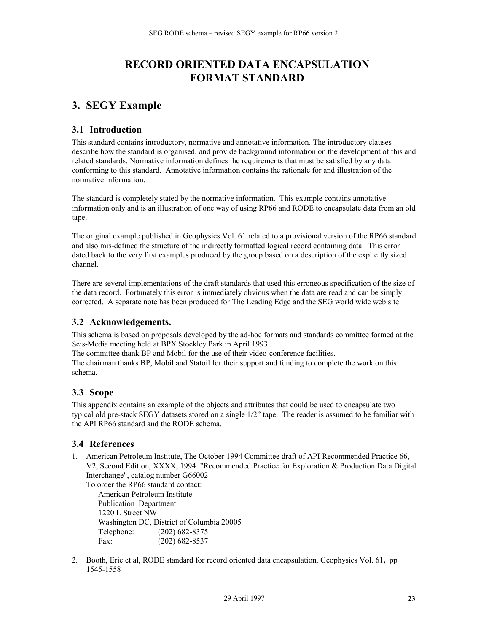# **RECORD ORIENTED DATA ENCAPSULATION FORMAT STANDARD**

# <span id="page-22-0"></span>**3. SEGY Example**

### **3.1 Introduction**

This standard contains introductory, normative and annotative information. The introductory clauses describe how the standard is organised, and provide background information on the development of this and related standards. Normative information defines the requirements that must be satisfied by any data conforming to this standard. Annotative information contains the rationale for and illustration of the normative information.

The standard is completely stated by the normative information. This example contains annotative information only and is an illustration of one way of using RP66 and RODE to encapsulate data from an old tape.

The original example published in Geophysics Vol. 61 related to a provisional version of the RP66 standard and also mis-defined the structure of the indirectly formatted logical record containing data. This error dated back to the very first examples produced by the group based on a description of the explicitly sized channel.

There are several implementations of the draft standards that used this erroneous specification of the size of the data record. Fortunately this error is immediately obvious when the data are read and can be simply corrected. A separate note has been produced for The Leading Edge and the SEG world wide web site.

# **3.2 Acknowledgements.**

This schema is based on proposals developed by the ad-hoc formats and standards committee formed at the Seis-Media meeting held at BPX Stockley Park in April 1993.

The committee thank BP and Mobil for the use of their video-conference facilities. The chairman thanks BP, Mobil and Statoil for their support and funding to complete the work on this schema.

# **3.3 Scope**

This appendix contains an example of the objects and attributes that could be used to encapsulate two typical old pre-stack SEGY datasets stored on a single 1/2" tape. The reader is assumed to be familiar with the API RP66 standard and the RODE schema.

#### **3.4 References**

1. American Petroleum Institute, The October 1994 Committee draft of API Recommended Practice 66, V2, Second Edition, XXXX, 1994 "Recommended Practice for Exploration & Production Data Digital Interchange", catalog number G66002

To order the RP66 standard contact: American Petroleum Institute Publication Department 1220 L Street NW Washington DC, District of Columbia 20005 Telephone: (202) 682-8375 Fax: (202) 682-8537

2. Booth, Eric et al, RODE standard for record oriented data encapsulation. Geophysics Vol. 61**,** pp 1545-1558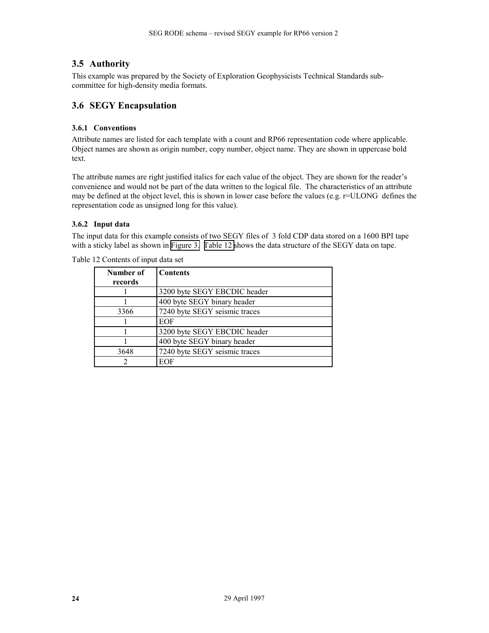# <span id="page-23-0"></span>**3.5 Authority**

This example was prepared by the Society of Exploration Geophysicists Technical Standards subcommittee for high-density media formats.

### **3.6 SEGY Encapsulation**

#### **3.6.1 Conventions**

Attribute names are listed for each template with a count and RP66 representation code where applicable. Object names are shown as origin number, copy number, object name. They are shown in uppercase bold text.

The attribute names are right justified italics for each value of the object. They are shown for the reader's convenience and would not be part of the data written to the logical file. The characteristics of an attribute may be defined at the object level, this is shown in lower case before the values (e.g. r=ULONG defines the representation code as unsigned long for this value).

#### **3.6.2 Input data**

The input data for this example consists of two SEGY files of 3 fold CDP data stored on a 1600 BPI tape with a sticky label as shown in [Figure 3.](#page-24-0) Table 12 shows the data structure of the SEGY data on tape.

| Number of<br>records | <b>Contents</b>               |
|----------------------|-------------------------------|
|                      | 3200 byte SEGY EBCDIC header  |
|                      | 400 byte SEGY binary header   |
| 3366                 | 7240 byte SEGY seismic traces |
|                      | EOF                           |
|                      | 3200 byte SEGY EBCDIC header  |
|                      | 400 byte SEGY binary header   |
| 3648                 | 7240 byte SEGY seismic traces |
|                      | EOF                           |

Table 12 Contents of input data set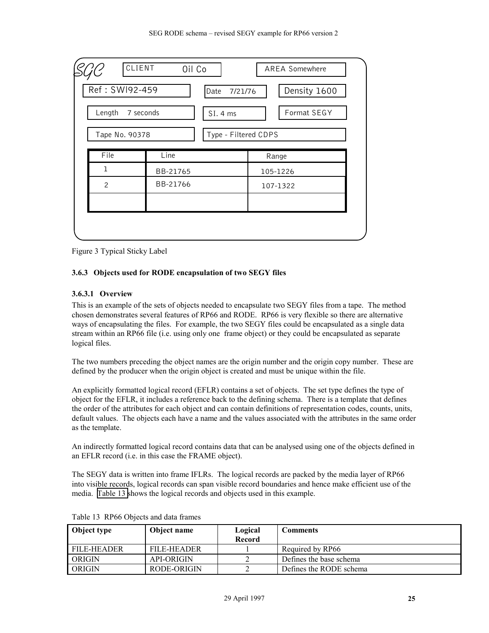<span id="page-24-0"></span>

| CLIENT         | Oil Co              | AREA Somewhere          |  |  |
|----------------|---------------------|-------------------------|--|--|
| Ref: SWI92-459 | Date                | Density 1600<br>7/21/76 |  |  |
| Length         | 7 seconds<br>SI.4ms | Format SEGY             |  |  |
| Tape No. 90378 |                     | Type - Filtered CDPS    |  |  |
| File           | Line                | Range                   |  |  |
| $\mathbf{1}$   | BB-21765            | 105-1226                |  |  |
| $\overline{c}$ | BB-21766            | 107-1322                |  |  |
|                |                     |                         |  |  |
|                |                     |                         |  |  |
|                |                     |                         |  |  |

Figure 3 Typical Sticky Label

#### **3.6.3 Objects used for RODE encapsulation of two SEGY files**

#### **3.6.3.1 Overview**

This is an example of the sets of objects needed to encapsulate two SEGY files from a tape. The method chosen demonstrates several features of RP66 and RODE. RP66 is very flexible so there are alternative ways of encapsulating the files. For example, the two SEGY files could be encapsulated as a single data stream within an RP66 file (i.e. using only one frame object) or they could be encapsulated as separate logical files.

The two numbers preceding the object names are the origin number and the origin copy number. These are defined by the producer when the origin object is created and must be unique within the file.

An explicitly formatted logical record (EFLR) contains a set of objects. The set type defines the type of object for the EFLR, it includes a reference back to the defining schema. There is a template that defines the order of the attributes for each object and can contain definitions of representation codes, counts, units, default values. The objects each have a name and the values associated with the attributes in the same order as the template.

An indirectly formatted logical record contains data that can be analysed using one of the objects defined in an EFLR record (i.e. in this case the FRAME object).

The SEGY data is written into frame IFLRs. The logical records are packed by the media layer of RP66 into visible records, logical records can span visible record boundaries and hence make efficient use of the media. Table 13 shows the logical records and objects used in this example.

| Object type | Object name       | Logical       | <b>Comments</b>         |
|-------------|-------------------|---------------|-------------------------|
|             |                   | <b>Record</b> |                         |
| FILE-HEADER | FILE-HEADER       |               | Required by RP66        |
| ORIGIN      | <b>API-ORIGIN</b> |               | Defines the base schema |
| ORIGIN      | RODE-ORIGIN       |               | Defines the RODE schema |

| Table 13 RP66 Objects and data frames |  |  |  |  |  |
|---------------------------------------|--|--|--|--|--|
|---------------------------------------|--|--|--|--|--|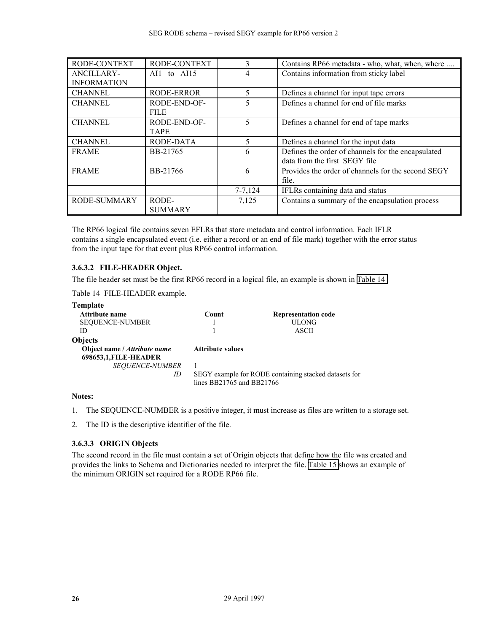<span id="page-25-0"></span>

| RODE-CONTEXT       | RODE-CONTEXT      | 3           | Contains RP66 metadata - who, what, when, where    |
|--------------------|-------------------|-------------|----------------------------------------------------|
| <b>ANCILLARY-</b>  | AI1 to $AI15$     | 4           | Contains information from sticky label             |
| <b>INFORMATION</b> |                   |             |                                                    |
| <b>CHANNEL</b>     | <b>RODE-ERROR</b> | 5           | Defines a channel for input tape errors            |
| <b>CHANNEL</b>     | RODE-END-OF-      | 5           | Defines a channel for end of file marks            |
|                    | <b>FILE</b>       |             |                                                    |
| <b>CHANNEL</b>     | RODE-END-OF-      | 5           | Defines a channel for end of tape marks            |
|                    | <b>TAPE</b>       |             |                                                    |
| <b>CHANNEL</b>     | RODE-DATA         | 5           | Defines a channel for the input data               |
| <b>FRAME</b>       | BB-21765          | 6           | Defines the order of channels for the encapsulated |
|                    |                   |             | data from the first SEGY file                      |
| <b>FRAME</b>       | BB-21766          | 6           | Provides the order of channels for the second SEGY |
|                    |                   |             | file.                                              |
|                    |                   | $7 - 7,124$ | IFLRs containing data and status                   |
| RODE-SUMMARY       | RODE-             | 7,125       | Contains a summary of the encapsulation process    |
|                    | <b>SUMMARY</b>    |             |                                                    |

The RP66 logical file contains seven EFLRs that store metadata and control information. Each IFLR contains a single encapsulated event (i.e. either a record or an end of file mark) together with the error status from the input tape for that event plus RP66 control information.

#### **3.6.3.2 FILE-HEADER Object.**

The file header set must be the first RP66 record in a logical file, an example is shown in Table 14

Table 14 FILE-HEADER example.

| Template                                              |                           |                                                       |
|-------------------------------------------------------|---------------------------|-------------------------------------------------------|
| Attribute name                                        | Count                     | <b>Representation code</b>                            |
| <b>SEQUENCE-NUMBER</b>                                |                           | ULONG-                                                |
| ID                                                    |                           | ASCII                                                 |
| <b>Objects</b>                                        |                           |                                                       |
| Object name / Attribute name<br>698653,1, FILE-HEADER | <b>Attribute values</b>   |                                                       |
| <b>SEQUENCE-NUMBER</b>                                |                           |                                                       |
| ID                                                    | lines BB21765 and BB21766 | SEGY example for RODE containing stacked datasets for |

#### **Notes:**

1. The SEQUENCE-NUMBER is a positive integer, it must increase as files are written to a storage set.

2. The ID is the descriptive identifier of the file.

#### **3.6.3.3 ORIGIN Objects**

The second record in the file must contain a set of Origin objects that define how the file was created and provides the links to Schema and Dictionaries needed to interpret the file. [Table 15](#page-26-0) shows an example of the minimum ORIGIN set required for a RODE RP66 file.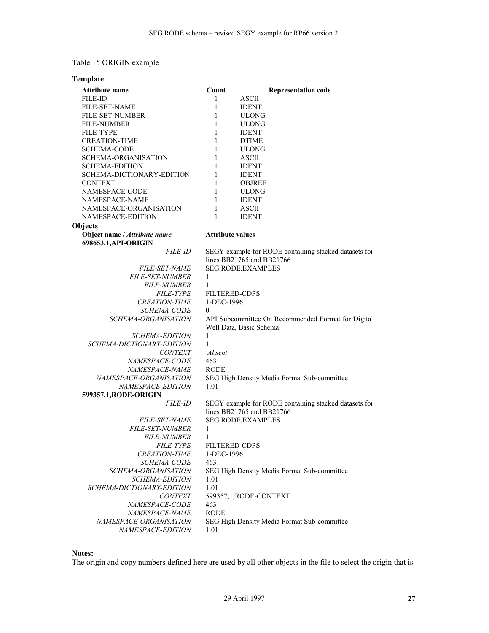#### <span id="page-26-0"></span>Table 15 ORIGIN example

#### **Template Objects Attribute name Count Representation code FILE-ID COUNT REPRESENTATION** FILE-ID 1 FILE-SET-NAME 1 IDENT FILE-SET-NUMBER 1 ULONG FILE-NUMBER 1 ULONG FILE-TYPE 1 IDENT CREATION-TIME 1 DTIME SCHEMA-CODE 1 ULONG SCHEMA-ORGANISATION 1 ASCII SCHEMA-EDITION 1 IDENT SCHEMA-DICTIONARY-EDITION 1 IDENT CONTEXT 1 OBJREF NAMESPACE-CODE 1 ULONG NAMESPACE-NAME 1 IDENT NAMESPACE-ORGANISATION 1 ASCII NAMESPACE-EDITION 1 IDENT **Object name /** *Attribute name* **Attribute values 698653,1,API-ORIGIN**  *FILE-ID* SEGY example for RODE containing stacked datasets for lines BB21765 and BB21766 *FILE-SET-NAME* SEG.RODE.EXAMPLES *FILE-SET-NUMBER* 1 *FILE-NUMBER* 1 *FILE-TYPE* FILTERED-CDPS *CREATION-TIME* 1-DEC-1996 *SCHEMA-CODE* 0 *SCHEMA-ORGANISATION* API Subcommittee On Recommended Format for Digital Well Data, Basic Schema *SCHEMA-EDITION* 1 *SCHEMA-DICTIONARY-EDITION* 1 *CONTEXT Absent NAMESPACE-CODE* 463 *NAMESPACE-NAME* RODE *NAMESPACE-ORGANISATION* SEG High Density Media Format Sub-committee *NAMESPACE-EDITION* 1.01 **599357,1,RODE-ORIGIN**  *FILE-ID* SEGY example for RODE containing stacked datasets for lines BB21765 and BB21766 *FILE-SET-NAME* SEG.RODE.EXAMPLES *FILE-SET-NUMBER* 1 *FILE-NUMBER* 1 *FILE-TYPE* FILTERED-CDPS *CREATION-TIME* 1-DEC-1996 *SCHEMA-CODE* 463 *SCHEMA-ORGANISATION* SEG High Density Media Format Sub-committee *SCHEMA-EDITION* 1.01 *SCHEMA-DICTIONARY-EDITION* 1.01 *CONTEXT* 599357,1,RODE-CONTEXT *NAMESPACE-CODE* 463 *NAMESPACE-NAME* RODE *NAMESPACE-ORGANISATION* SEG High Density Media Format Sub-committee *NAMESPACE-EDITION* 1.01

#### **Notes:**

The origin and copy numbers defined here are used by all other objects in the file to select the origin that is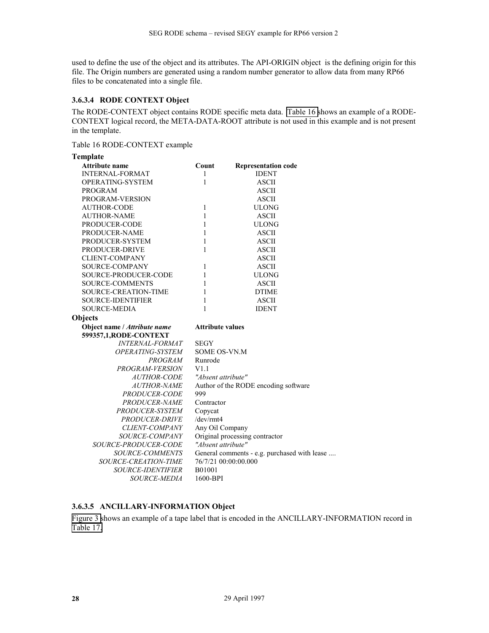<span id="page-27-0"></span>used to define the use of the object and its attributes. The API-ORIGIN object is the defining origin for this file. The Origin numbers are generated using a random number generator to allow data from many RP66 files to be concatenated into a single file.

#### **3.6.3.4 RODE CONTEXT Object**

The RODE-CONTEXT object contains RODE specific meta data. Table 16 shows an example of a RODE-CONTEXT logical record, the META-DATA-ROOT attribute is not used in this example and is not present in the template.

Table 16 RODE-CONTEXT example

| Template                       |                                              |                                      |  |
|--------------------------------|----------------------------------------------|--------------------------------------|--|
| <b>Attribute name</b>          | Count                                        | <b>Representation code</b>           |  |
| <b>INTERNAL-FORMAT</b>         | 1                                            | <b>IDENT</b>                         |  |
| OPERATING-SYSTEM               | 1                                            | <b>ASCII</b>                         |  |
| <b>PROGRAM</b>                 |                                              | <b>ASCII</b>                         |  |
| PROGRAM-VERSION                |                                              | <b>ASCII</b>                         |  |
| <b>AUTHOR-CODE</b>             | 1                                            | <b>ULONG</b>                         |  |
| <b>AUTHOR-NAME</b>             | $\mathbf{1}$                                 | <b>ASCII</b>                         |  |
| PRODUCER-CODE                  | $\mathbf{1}$                                 | <b>ULONG</b>                         |  |
| PRODUCER-NAME                  | 1                                            | <b>ASCII</b>                         |  |
| PRODUCER-SYSTEM                | 1                                            | <b>ASCII</b>                         |  |
| PRODUCER-DRIVE                 | 1                                            | <b>ASCII</b>                         |  |
| <b>CLIENT-COMPANY</b>          |                                              | <b>ASCII</b>                         |  |
| SOURCE-COMPANY                 | 1                                            | <b>ASCII</b>                         |  |
| <b>SOURCE-PRODUCER-CODE</b>    | 1                                            | <b>ULONG</b>                         |  |
| <b>SOURCE-COMMENTS</b>         | 1                                            | <b>ASCII</b>                         |  |
| SOURCE-CREATION-TIME           | 1                                            | <b>DTIME</b>                         |  |
| <b>SOURCE-IDENTIFIER</b>       | 1                                            | <b>ASCII</b>                         |  |
| <b>SOURCE-MEDIA</b>            | 1                                            | <b>IDENT</b>                         |  |
| Objects                        |                                              |                                      |  |
| Object name / Attribute name   | <b>Attribute values</b>                      |                                      |  |
| 599357,1, RODE-CONTEXT         |                                              |                                      |  |
| <b>INTERNAL-FORMAT</b>         | <b>SEGY</b>                                  |                                      |  |
| <i><b>OPERATING-SYSTEM</b></i> | <b>SOME OS-VN.M</b>                          |                                      |  |
| PROGRAM                        | Runrode                                      |                                      |  |
| PROGRAM-VERSION                | V1.1                                         |                                      |  |
| <i><b>AUTHOR-CODE</b></i>      | "Absent attribute"                           |                                      |  |
| <b>AUTHOR-NAME</b>             |                                              | Author of the RODE encoding software |  |
| PRODUCER-CODE                  | 999                                          |                                      |  |
| PRODUCER-NAME                  | Contractor                                   |                                      |  |
| PRODUCER-SYSTEM                | Copycat                                      |                                      |  |
| PRODUCER-DRIVE                 | /dev/rmt4                                    |                                      |  |
| <b>CLIENT-COMPANY</b>          | Any Oil Company                              |                                      |  |
| SOURCE-COMPANY                 | Original processing contractor               |                                      |  |
| SOURCE-PRODUCER-CODE           | "Absent attribute"                           |                                      |  |
| <b>SOURCE-COMMENTS</b>         | General comments - e.g. purchased with lease |                                      |  |
| SOURCE-CREATION-TIME           |                                              | 76/7/21 00:00:00.000                 |  |
| <b>SOURCE-IDENTIFIER</b>       | B01001                                       |                                      |  |
| <i>SOURCE-MEDIA</i>            | 1600-BPI                                     |                                      |  |

### **3.6.3.5 ANCILLARY-INFORMATION Object**

[Figure 3](#page-24-0) shows an example of a tape label that is encoded in the ANCILLARY-INFORMATION record in [Table 17.](#page-28-0)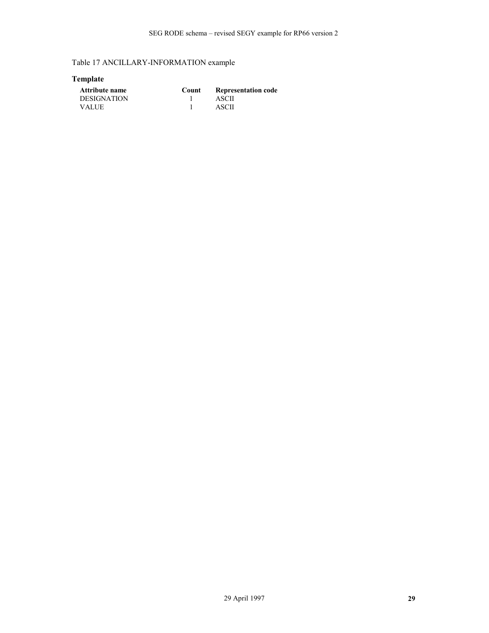<span id="page-28-0"></span>Table 17 ANCILLARY-INFORMATION example

# **Template**

| <b>Attribute name</b> | Count | <b>Representation code</b> |
|-----------------------|-------|----------------------------|
| DESIGNATION           |       | ASCII                      |
| <b>VALUE</b>          |       | ASCII                      |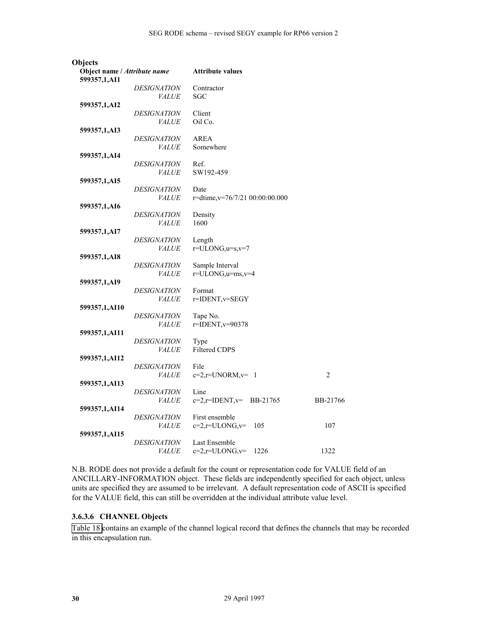| <b>Objects</b>               |                           |                                |                |
|------------------------------|---------------------------|--------------------------------|----------------|
| Object name / Attribute name |                           | <b>Attribute values</b>        |                |
| 599357,1,AI1                 |                           |                                |                |
|                              | <i>DESIGNATION</i>        | Contractor                     |                |
|                              | <i>VALUE</i>              | <b>SGC</b>                     |                |
| 599357,1,AI2                 |                           |                                |                |
|                              | <i>DESIGNATION</i>        | Client                         |                |
|                              | <i>VALUE</i>              | Oil Co.                        |                |
| 599357,1,AI3                 |                           |                                |                |
|                              | <i><b>DESIGNATION</b></i> | AREA                           |                |
|                              | <b>VALUE</b>              | Somewhere                      |                |
| 599357,1,AI4                 |                           |                                |                |
|                              | <i>DESIGNATION</i>        | Ref.                           |                |
|                              | <i>VALUE</i>              | SW192-459                      |                |
| 599357,1,AI5                 |                           |                                |                |
|                              | <b>DESIGNATION</b>        | Date                           |                |
|                              | <i>VALUE</i>              | r=dtime,v=76/7/21 00:00:00.000 |                |
| 599357,1,AI6                 |                           |                                |                |
|                              | <b>DESIGNATION</b>        | Density                        |                |
|                              | <i>VALUE</i>              | 1600                           |                |
| 599357,1,AI7                 |                           |                                |                |
|                              | <i>DESIGNATION</i>        | Length                         |                |
|                              | <i>VALUE</i>              | $r = ULONG, u=s, v=7$          |                |
|                              |                           |                                |                |
| 599357,1,AI8                 | <b>DESIGNATION</b>        | Sample Interval                |                |
|                              | <i>VALUE</i>              | $r = ULONG, u = ms, v = 4$     |                |
|                              |                           |                                |                |
| 599357,1,AI9                 | <i>DESIGNATION</i>        | Format                         |                |
|                              | <i>VALUE</i>              | r=IDENT, v=SEGY                |                |
|                              |                           |                                |                |
| 599357,1,AI10                | <b>DESIGNATION</b>        | Tape No.                       |                |
|                              | <i>VALUE</i>              | r=IDENT, v=90378               |                |
|                              |                           |                                |                |
| 599357,1,AI11                | <i>DESIGNATION</i>        | Type                           |                |
|                              | <i>VALUE</i>              | <b>Filtered CDPS</b>           |                |
|                              |                           |                                |                |
| 599357,1,AI12                | <i>DESIGNATION</i>        | File                           |                |
|                              | <i>VALUE</i>              | $c=2, r=UNORM, v= 1$           | $\overline{2}$ |
|                              |                           |                                |                |
| 599357,1,AI13                | <i>DESIGNATION</i>        | Line                           |                |
|                              | <i>VALUE</i>              | BB-21765                       | BB-21766       |
|                              |                           | $c=2, r=IDENT, v=$             |                |
| 599357,1,AI14                | <i><b>DESIGNATION</b></i> | First ensemble                 |                |
|                              |                           | $c=2, r=ULONG, v=$             | 107            |
|                              | <i>VALUE</i>              | 105                            |                |
| 599357,1,AI15                | <i><b>DESIGNATION</b></i> | Last Ensemble                  |                |
|                              |                           |                                |                |
|                              | <i>VALUE</i>              | $c=2, r=ULONG, v=$<br>1226     | 1322           |

N.B. RODE does not provide a default for the count or representation code for VALUE field of an ANCILLARY-INFORMATION object. These fields are independently specified for each object, unless units are specified they are assumed to be irrelevant. A default representation code of ASCII is specified for the VALUE field, this can still be overridden at the individual attribute value level.

#### **3.6.3.6 CHANNEL Objects**

[Table 18 c](#page-30-0)ontains an example of the channel logical record that defines the channels that may be recorded in this encapsulation run.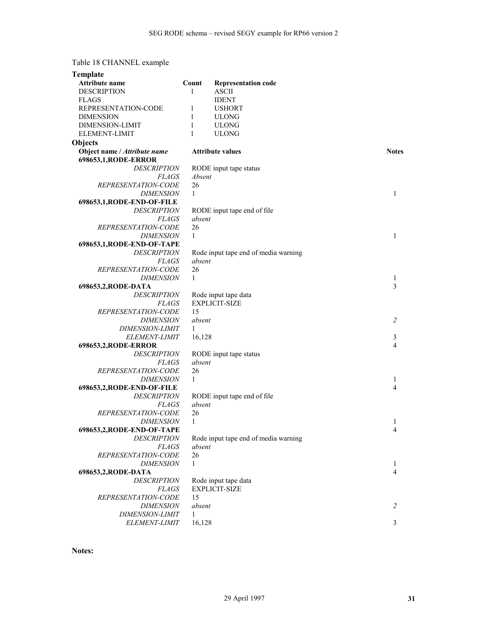# <span id="page-30-0"></span>Table 18 CHANNEL example

| <b>Template</b>                                      |              |                                      |                |
|------------------------------------------------------|--------------|--------------------------------------|----------------|
| Attribute name                                       | Count        | <b>Representation code</b>           |                |
| <b>DESCRIPTION</b>                                   | 1            | <b>ASCII</b>                         |                |
| <b>FLAGS</b>                                         |              | <b>IDENT</b>                         |                |
| REPRESENTATION-CODE                                  | 1            | <b>USHORT</b>                        |                |
| <b>DIMENSION</b>                                     | 1            | <b>ULONG</b>                         |                |
| DIMENSION-LIMIT                                      | 1            | <b>ULONG</b>                         |                |
| <b>ELEMENT-LIMIT</b>                                 | $\mathbf{1}$ | ULONG                                |                |
| Objects                                              |              |                                      |                |
| Object name / Attribute name<br>698653,1, RODE-ERROR |              | <b>Attribute values</b>              | <b>Notes</b>   |
| <b>DESCRIPTION</b>                                   |              | RODE input tape status               |                |
| <i>FLAGS</i>                                         | Absent       |                                      |                |
| REPRESENTATION-CODE                                  | 26           |                                      |                |
| <i>DIMENSION</i>                                     | 1            |                                      | 1              |
| 698653,1, RODE-END-OF-FILE                           |              |                                      |                |
| <i>DESCRIPTION</i>                                   |              | RODE input tape end of file          |                |
| <i>FLAGS</i>                                         | absent       |                                      |                |
| <i>REPRESENTATION-CODE</i>                           | 26           |                                      |                |
| <b>DIMENSION</b>                                     | 1            |                                      | 1              |
| 698653,1, RODE-END-OF-TAPE                           |              |                                      |                |
| <b>DESCRIPTION</b>                                   |              | Rode input tape end of media warning |                |
| <i>FLAGS</i>                                         | absent       |                                      |                |
| REPRESENTATION-CODE                                  | 26           |                                      |                |
| <i>DIMENSION</i>                                     | $\mathbf{1}$ |                                      | 1              |
| 698653,2, RODE-DATA                                  |              |                                      | 3              |
| <i>DESCRIPTION</i>                                   |              | Rode input tape data                 |                |
| <i>FLAGS</i>                                         |              | <b>EXPLICIT-SIZE</b>                 |                |
| REPRESENTATION-CODE                                  | 15           |                                      |                |
| <i>DIMENSION</i>                                     | absent       |                                      | $\overline{2}$ |
| <i><b>DIMENSION-LIMIT</b></i>                        | 1            |                                      |                |
| ELEMENT-LIMIT                                        | 16,128       |                                      | 3              |
| 698653,2, RODE-ERROR                                 |              |                                      | 4              |
| <i>DESCRIPTION</i>                                   |              | RODE input tape status               |                |
| <i>FLAGS</i>                                         | absent       |                                      |                |
| <i>REPRESENTATION-CODE</i>                           | 26           |                                      |                |
| <b>DIMENSION</b>                                     | 1            |                                      | 1              |
| 698653,2, RODE-END-OF-FILE                           |              |                                      | 4              |
| <b>DESCRIPTION</b>                                   |              | RODE input tape end of file          |                |
| <i>FLAGS</i>                                         | absent       |                                      |                |
| <i>REPRESENTATION-CODE</i>                           | 26           |                                      |                |
| <i>DIMENSION</i>                                     | 1            |                                      | 1              |
| 698653,2, RODE-END-OF-TAPE                           |              |                                      | 4              |
| <b>DESCRIPTION</b>                                   | absent       | Rode input tape end of media warning |                |
| <b>FLAGS</b>                                         | 26           |                                      |                |
| REPRESENTATION-CODE<br><b>DIMENSION</b>              | 1            |                                      |                |
|                                                      |              |                                      | 1<br>4         |
| 698653,2, RODE-DATA<br><b>DESCRIPTION</b>            |              | Rode input tape data                 |                |
| <b>FLAGS</b>                                         |              | <b>EXPLICIT-SIZE</b>                 |                |
| REPRESENTATION-CODE                                  | 15           |                                      |                |
| <b>DIMENSION</b>                                     | absent       |                                      | 2              |
| <b>DIMENSION-LIMIT</b>                               | 1            |                                      |                |
| ELEMENT-LIMIT                                        | 16,128       |                                      | 3              |
|                                                      |              |                                      |                |

**Notes:**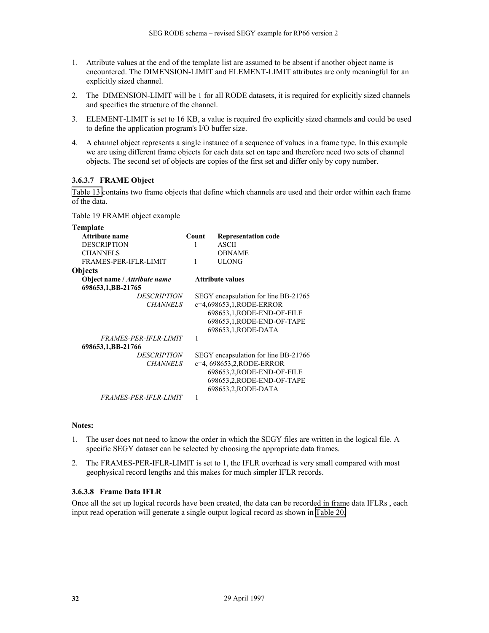- <span id="page-31-0"></span>1. Attribute values at the end of the template list are assumed to be absent if another object name is encountered. The DIMENSION-LIMIT and ELEMENT-LIMIT attributes are only meaningful for an explicitly sized channel.
- 2. The DIMENSION-LIMIT will be 1 for all RODE datasets, it is required for explicitly sized channels and specifies the structure of the channel.
- 3. ELEMENT-LIMIT is set to 16 KB, a value is required fro explicitly sized channels and could be used to define the application program's I/O buffer size.
- 4. A channel object represents a single instance of a sequence of values in a frame type. In this example we are using different frame objects for each data set on tape and therefore need two sets of channel objects. The second set of objects are copies of the first set and differ only by copy number.

#### **3.6.3.7 FRAME Object**

[Table 13 c](#page-24-0)ontains two frame objects that define which channels are used and their order within each frame of the data.

Table 19 FRAME object example

| Template                     |       |                                      |
|------------------------------|-------|--------------------------------------|
| Attribute name               | Count | <b>Representation code</b>           |
| <b>DESCRIPTION</b>           | 1     | <b>ASCII</b>                         |
| <b>CHANNELS</b>              |       | <b>OBNAME</b>                        |
| FRAMES-PER-IFLR-LIMIT        | 1     | <b>ULONG</b>                         |
| <b>Objects</b>               |       |                                      |
| Object name / Attribute name |       | <b>Attribute values</b>              |
| 698653,1,BB-21765            |       |                                      |
| <i>DESCRIPTION</i>           |       | SEGY encapsulation for line BB-21765 |
| <b>CHANNELS</b>              |       | c=4,698653,1,RODE-ERROR              |
|                              |       | 698653,1, RODE-END-OF-FILE           |
|                              |       | 698653,1, RODE-END-OF-TAPE           |
|                              |       | 698653,1, RODE-DATA                  |
| <b>FRAMES-PER-IFLR-LIMIT</b> | 1     |                                      |
| 698653,1,BB-21766            |       |                                      |
| <b>DESCRIPTION</b>           |       | SEGY encapsulation for line BB-21766 |
| <b>CHANNELS</b>              |       | c=4, 698653, 2, RODE-ERROR           |
|                              |       | 698653,2,RODE-END-OF-FILE            |
|                              |       | 698653,2, RODE-END-OF-TAPE           |
|                              |       | 698653,2, RODE-DATA                  |
| <i>FRAMES-PER-IFLR-LIMIT</i> | 1     |                                      |

#### **Notes:**

- 1. The user does not need to know the order in which the SEGY files are written in the logical file. A specific SEGY dataset can be selected by choosing the appropriate data frames.
- 2. The FRAMES-PER-IFLR-LIMIT is set to 1, the IFLR overhead is very small compared with most geophysical record lengths and this makes for much simpler IFLR records.

#### **3.6.3.8 Frame Data IFLR**

Once all the set up logical records have been created, the data can be recorded in frame data IFLRs , each input read operation will generate a single output logical record as shown in [Table 20.](#page-32-0)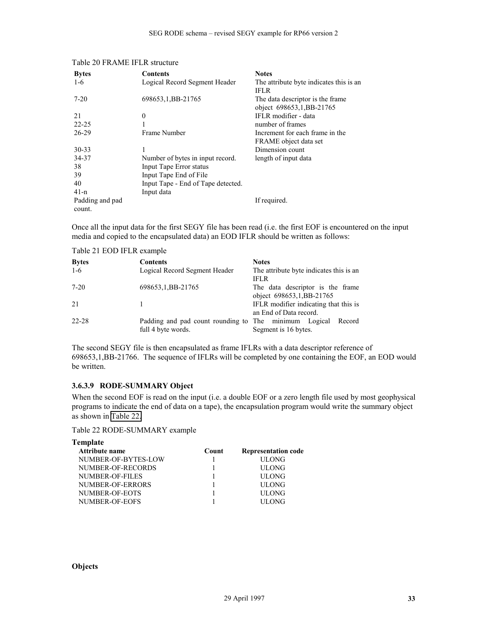| <b>Bytes</b>    | Contents                           | <b>Notes</b>                            |
|-----------------|------------------------------------|-----------------------------------------|
| $1-6$           | Logical Record Segment Header      | The attribute byte indicates this is an |
|                 |                                    | <b>IFLR</b>                             |
| $7 - 20$        | 698653, 1, BB-21765                | The data descriptor is the frame.       |
|                 |                                    | object 698653,1, BB-21765               |
| 21              | $\theta$                           | IFLR modifier - data                    |
| $22 - 25$       |                                    | number of frames                        |
| 26-29           | Frame Number                       | Increment for each frame in the         |
|                 |                                    | FRAME object data set                   |
| $30 - 33$       |                                    | Dimension count                         |
| 34-37           | Number of bytes in input record.   | length of input data                    |
| 38              | Input Tape Error status            |                                         |
| 39              | Input Tape End of File             |                                         |
| 40              | Input Tape - End of Tape detected. |                                         |
| $41-n$          | Input data                         |                                         |
| Padding and pad |                                    | If required.                            |
| count.          |                                    |                                         |
|                 |                                    |                                         |

#### <span id="page-32-0"></span>Table 20 FRAME IFLR structure

Once all the input data for the first SEGY file has been read (i.e. the first EOF is encountered on the input media and copied to the encapsulated data) an EOD IFLR should be written as follows:

Table 21 EOD IFLR example

| <b>Bytes</b><br>$1-6$ | <b>Contents</b><br>Logical Record Segment Header                            | <b>Notes</b><br>The attribute byte indicates this is an           |
|-----------------------|-----------------------------------------------------------------------------|-------------------------------------------------------------------|
| $7 - 20$              | 698653, 1, BB-21765                                                         | <b>IFLR</b><br>The data descriptor is the frame                   |
| 21                    |                                                                             | object 698653,1,BB-21765<br>IFLR modifier indicating that this is |
| 22-28                 | Padding and pad count rounding to The minimum Logical<br>full 4 byte words. | an End of Data record.<br>Record<br>Segment is 16 bytes.          |

The second SEGY file is then encapsulated as frame IFLRs with a data descriptor reference of 698653,1,BB-21766. The sequence of IFLRs will be completed by one containing the EOF, an EOD would be written.

#### **3.6.3.9 RODE-SUMMARY Object**

When the second EOF is read on the input (i.e. a double EOF or a zero length file used by most geophysical programs to indicate the end of data on a tape), the encapsulation program would write the summary object as shown in Table 22.

Table 22 RODE-SUMMARY example

| Count | <b>Representation code</b> |
|-------|----------------------------|
|       | <b>ULONG</b>               |
|       | <b>ULONG</b>               |
|       | <b>ULONG</b>               |
|       | <b>ULONG</b>               |
|       | <b>ULONG</b>               |
|       | <b>HLONG</b>               |
|       |                            |

#### **Objects**